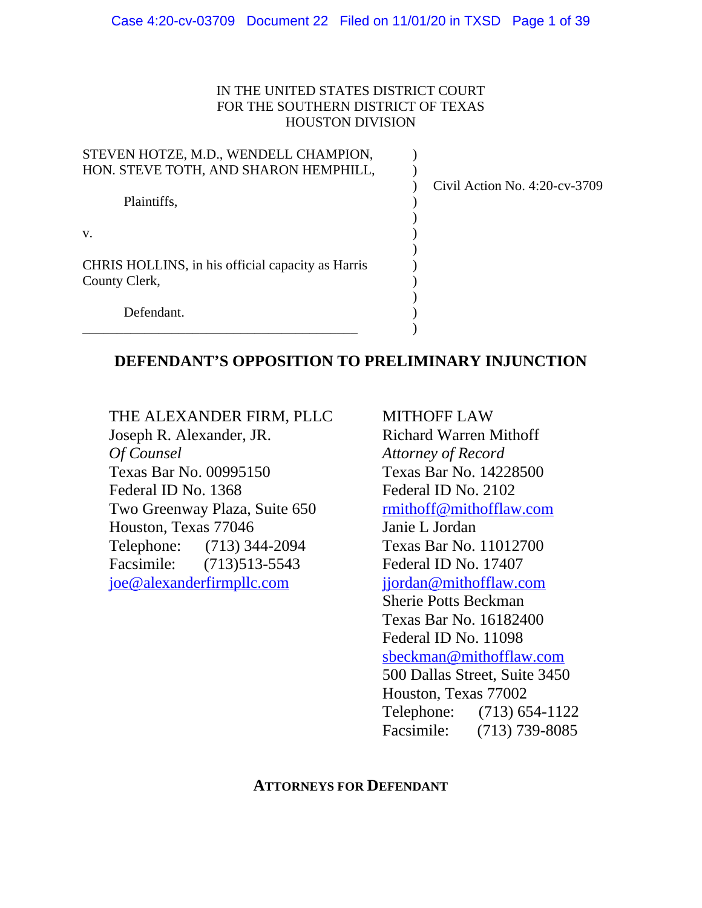#### IN THE UNITED STATES DISTRICT COURT FOR THE SOUTHERN DISTRICT OF TEXAS HOUSTON DIVISION

| STEVEN HOTZE, M.D., WENDELL CHAMPION,             |                               |
|---------------------------------------------------|-------------------------------|
| HON. STEVE TOTH, AND SHARON HEMPHILL,             |                               |
|                                                   | Civil Action No. 4:20-cv-3709 |
| Plaintiffs,                                       |                               |
|                                                   |                               |
| V.                                                |                               |
|                                                   |                               |
| CHRIS HOLLINS, in his official capacity as Harris |                               |
| County Clerk,                                     |                               |
|                                                   |                               |
| Defendant.                                        |                               |
|                                                   |                               |

## **DEFENDANT'S OPPOSITION TO PRELIMINARY INJUNCTION**

THE ALEXANDER FIRM, PLLC Joseph R. Alexander, JR. *Of Counsel* Texas Bar No. 00995150 Federal ID No. 1368 Two Greenway Plaza, Suite 650 Houston, Texas 77046 Telephone: (713) 344-2094 Facsimile: (713)513-5543 [joe@alexanderfirmpllc.com](mailto:joe@alexanderfirmpllc.com)

MITHOFF LAW Richard Warren Mithoff *Attorney of Record* Texas Bar No. 14228500 Federal ID No. 2102 [rmithoff@mithofflaw.com](mailto:rmithoff@mithofflaw.com) Janie L Jordan Texas Bar No. 11012700 Federal ID No. 17407 [jjordan@mithofflaw.com](mailto:jjordan@mithofflaw.com) Sherie Potts Beckman Texas Bar No. 16182400 Federal ID No. 11098 [sbeckman@mithofflaw.com](mailto:sbeckman@mithofflaw.com) 500 Dallas Street, Suite 3450 Houston, Texas 77002 Telephone: (713) 654-1122 Facsimile: (713) 739-8085

### **ATTORNEYS FOR DEFENDANT**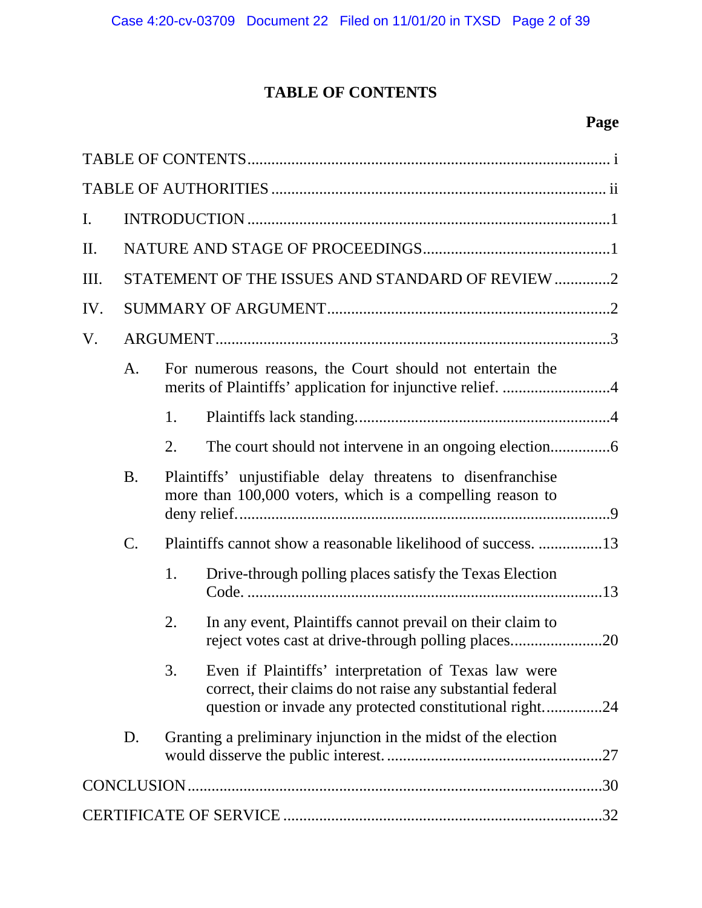# **TABLE OF CONTENTS**

# **Page**

<span id="page-1-0"></span>

| $\mathbf{I}$ . |                                                                      |                                                                                                                          |                                                                                                                                                                               |  |  |  |
|----------------|----------------------------------------------------------------------|--------------------------------------------------------------------------------------------------------------------------|-------------------------------------------------------------------------------------------------------------------------------------------------------------------------------|--|--|--|
| Π.             |                                                                      |                                                                                                                          |                                                                                                                                                                               |  |  |  |
| Ш.             | STATEMENT OF THE ISSUES AND STANDARD OF REVIEW 2                     |                                                                                                                          |                                                                                                                                                                               |  |  |  |
| IV.            |                                                                      |                                                                                                                          |                                                                                                                                                                               |  |  |  |
| V.             |                                                                      |                                                                                                                          |                                                                                                                                                                               |  |  |  |
|                | A.                                                                   | For numerous reasons, the Court should not entertain the<br>merits of Plaintiffs' application for injunctive relief. 4   |                                                                                                                                                                               |  |  |  |
|                |                                                                      | 1.                                                                                                                       |                                                                                                                                                                               |  |  |  |
|                |                                                                      | 2.                                                                                                                       |                                                                                                                                                                               |  |  |  |
|                | <b>B.</b>                                                            | Plaintiffs' unjustifiable delay threatens to disenfranchise<br>more than 100,000 voters, which is a compelling reason to |                                                                                                                                                                               |  |  |  |
|                | $\mathcal{C}$ .                                                      | Plaintiffs cannot show a reasonable likelihood of success. 13                                                            |                                                                                                                                                                               |  |  |  |
|                |                                                                      | 1.                                                                                                                       | Drive-through polling places satisfy the Texas Election                                                                                                                       |  |  |  |
|                |                                                                      | 2.                                                                                                                       | In any event, Plaintiffs cannot prevail on their claim to                                                                                                                     |  |  |  |
|                |                                                                      | 3.                                                                                                                       | Even if Plaintiffs' interpretation of Texas law were<br>correct, their claims do not raise any substantial federal<br>question or invade any protected constitutional right24 |  |  |  |
|                | Granting a preliminary injunction in the midst of the election<br>D. |                                                                                                                          |                                                                                                                                                                               |  |  |  |
|                |                                                                      |                                                                                                                          |                                                                                                                                                                               |  |  |  |
|                |                                                                      |                                                                                                                          |                                                                                                                                                                               |  |  |  |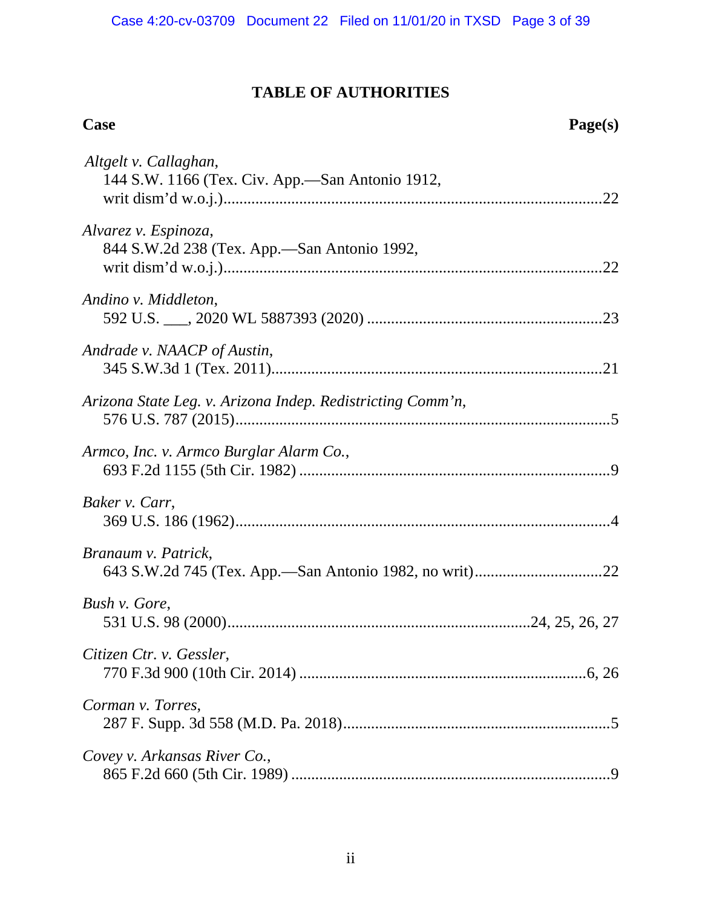### **TABLE OF AUTHORITIES**

# <span id="page-2-0"></span>**Case Page(s)** *Altgelt v. Callaghan*, 144 S.W. 1166 (Tex. Civ. App.—San Antonio 1912, writ dism'd w.o.j.)..............................................................................................[.22](#page-28-0) *Alvarez v. Espinoza*, 844 S.W.2d 238 (Tex. App.—San Antonio 1992, writ dism'd w.o.j.)..............................................................................................[.22](#page-28-1) *Andino v. Middleton*, 592 U.S. \_\_\_, 2020 WL 5887393 (2020) ..........................................................[.23](#page-29-0) *Andrade v. NAACP of Austin*, 345 S.W.3d 1 (Tex. 2011)..................................................................................[.21](#page-27-0) *Arizona State Leg. v. Arizona Indep. Redistricting Comm'n*, 576 U.S. 787 (2015).............................................................................................[.5](#page-11-0) *Armco, Inc. v. Armco Burglar Alarm Co.*, 693 F.2d 1155 (5th Cir. 1982) .............................................................................[.9](#page-15-1) *Baker v. Carr*, 369 U.S. 186 (1962).............................................................................................[.4](#page-10-2) *Branaum v. Patrick*, 643 S.W.2d 745 (Tex. App.—San Antonio 1982, no writ)...............................[.22](#page-28-2) *Bush v. Gore*, 531 U.S. 98 (2000)...........................................................................[.24,](#page-30-1) [25,](#page-31-0) [26,](#page-32-0) [27](#page-33-1) *Citizen Ctr. v. Gessler*, 770 F.3d 900 (10th Cir. 2014) .......................................................................[.6,](#page-12-1) [26](#page-32-1) *Corman v. Torres*, 287 F. Supp. 3d 558 (M.D. Pa. 2018)..................................................................[.5](#page-11-1) *Covey v. Arkansas River Co.*, 865 F.2d 660 (5th Cir. 1989) ...............................................................................[.9](#page-15-2)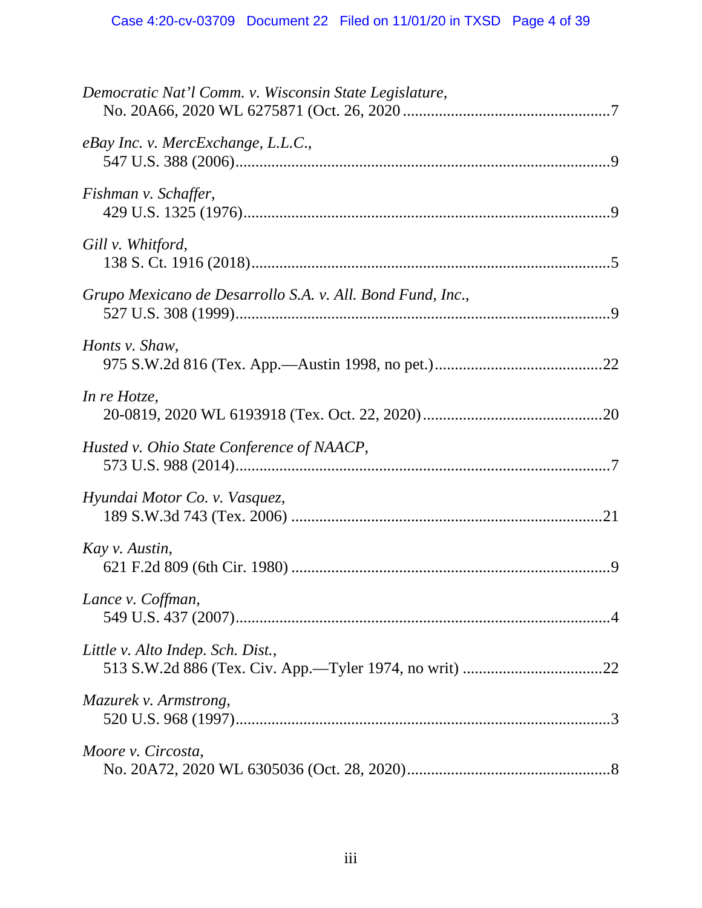| Democratic Nat'l Comm. v. Wisconsin State Legislature,     |
|------------------------------------------------------------|
| eBay Inc. v. MercExchange, L.L.C.,                         |
| Fishman v. Schaffer,                                       |
| Gill v. Whitford,                                          |
| Grupo Mexicano de Desarrollo S.A. v. All. Bond Fund, Inc., |
| Honts v. Shaw,                                             |
| In re Hotze,                                               |
| Husted v. Ohio State Conference of NAACP,                  |
| Hyundai Motor Co. v. Vasquez,                              |
| Kay v. Austin,                                             |
| Lance v. Coffman,                                          |
| Little v. Alto Indep. Sch. Dist.,                          |
| Mazurek v. Armstrong,                                      |
| Moore v. Circosta,                                         |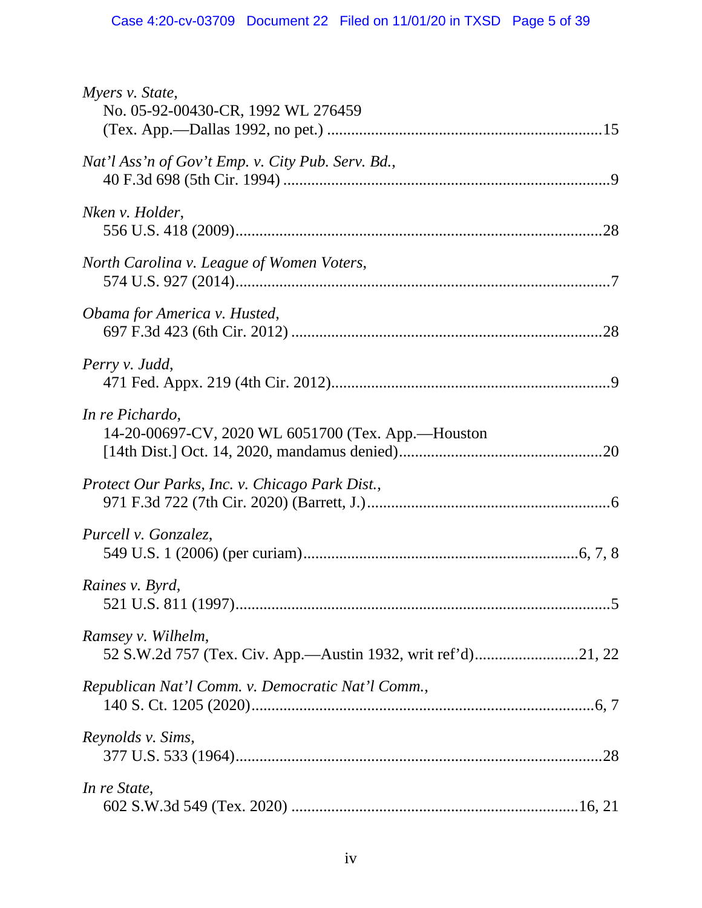| Myers v. State,<br>No. 05-92-00430-CR, 1992 WL 276459                 |
|-----------------------------------------------------------------------|
| Nat'l Ass'n of Gov't Emp. v. City Pub. Serv. Bd.,                     |
| Nken v. Holder,                                                       |
| North Carolina v. League of Women Voters,                             |
| Obama for America v. Husted,                                          |
| Perry v. Judd,                                                        |
| In re Pichardo,<br>14-20-00697-CV, 2020 WL 6051700 (Tex. App.-Houston |
| Protect Our Parks, Inc. v. Chicago Park Dist.,                        |
| Purcell v. Gonzalez,                                                  |
| Raines v. Byrd,                                                       |
| Ramsey v. Wilhelm,                                                    |
| Republican Nat'l Comm. v. Democratic Nat'l Comm.,                     |
| Reynolds v. Sims,                                                     |
| In re State,                                                          |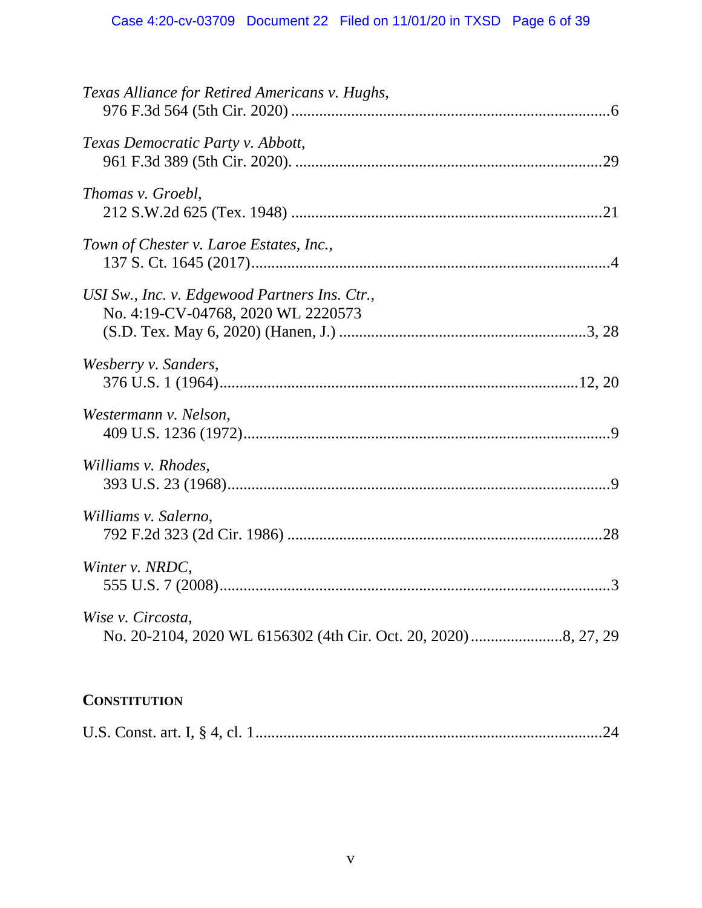# **CONSTITUTION**

|--|--|--|--|--|--|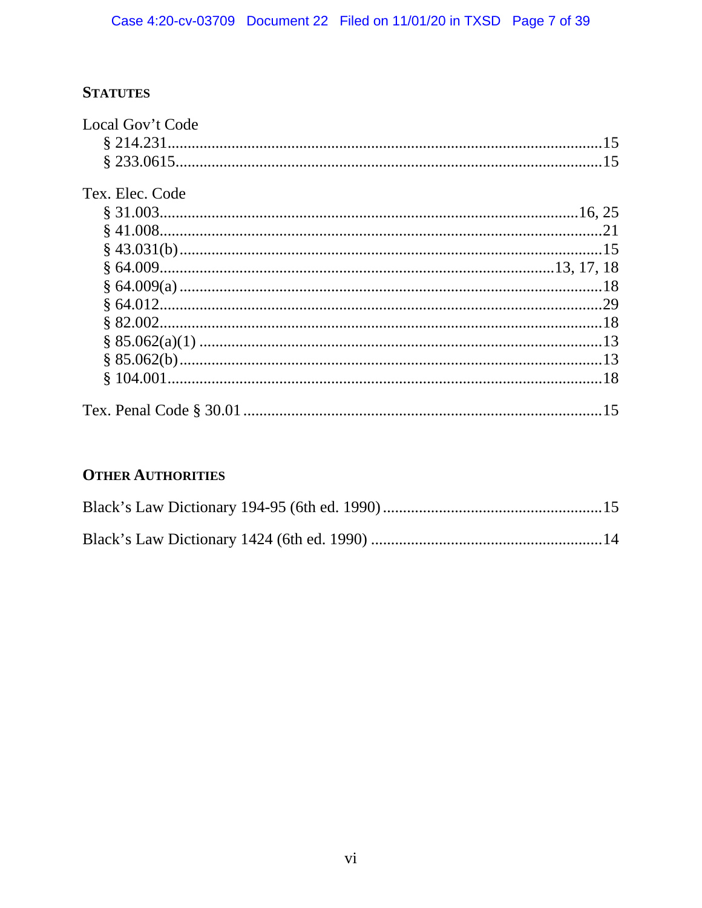# **STATUTES**

| Local Gov't Code |     |
|------------------|-----|
|                  |     |
|                  |     |
| Tex. Elec. Code  |     |
|                  |     |
|                  |     |
|                  |     |
|                  |     |
|                  |     |
|                  |     |
|                  |     |
|                  |     |
|                  |     |
|                  |     |
|                  | .15 |

# **OTHER AUTHORITIES**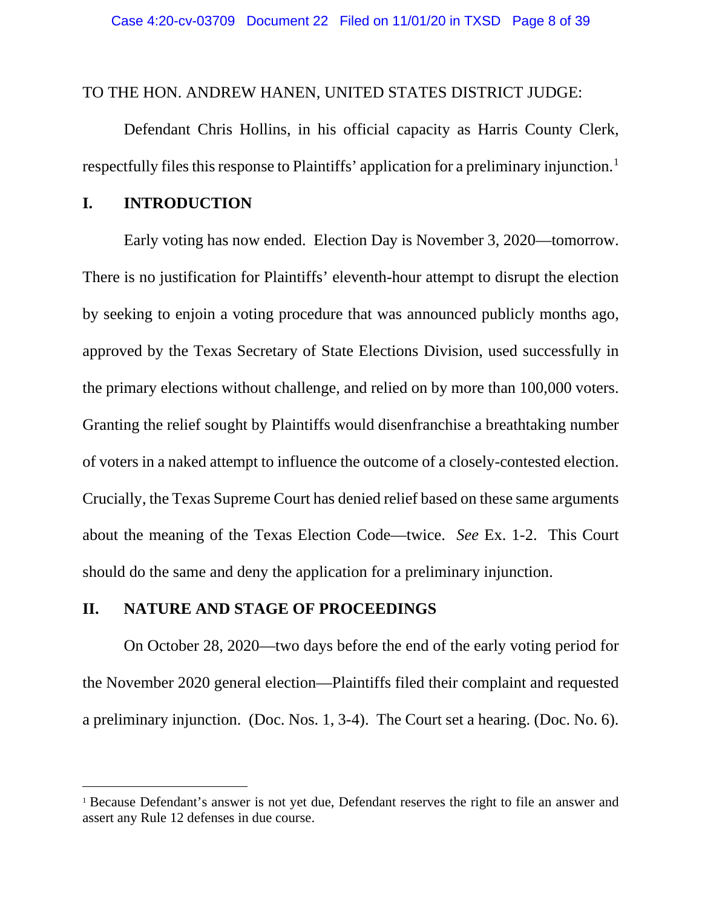#### TO THE HON. ANDREW HANEN, UNITED STATES DISTRICT JUDGE:

Defendant Chris Hollins, in his official capacity as Harris County Clerk, respectfully files this response to Plaintiffs' application for a preliminary injunction.<sup>[1](#page-7-2)</sup>

### <span id="page-7-0"></span>**I. INTRODUCTION**

Early voting has now ended. Election Day is November 3, 2020—tomorrow. There is no justification for Plaintiffs' eleventh-hour attempt to disrupt the election by seeking to enjoin a voting procedure that was announced publicly months ago, approved by the Texas Secretary of State Elections Division, used successfully in the primary elections without challenge, and relied on by more than 100,000 voters. Granting the relief sought by Plaintiffs would disenfranchise a breathtaking number of voters in a naked attempt to influence the outcome of a closely-contested election. Crucially, the Texas Supreme Court has denied relief based on these same arguments about the meaning of the Texas Election Code—twice. *See* Ex. 1-2. This Court should do the same and deny the application for a preliminary injunction.

#### <span id="page-7-1"></span>**II. NATURE AND STAGE OF PROCEEDINGS**

On October 28, 2020—two days before the end of the early voting period for the November 2020 general election—Plaintiffs filed their complaint and requested a preliminary injunction. (Doc. Nos. 1, 3-4). The Court set a hearing. (Doc. No. 6).

<span id="page-7-2"></span><sup>&</sup>lt;sup>1</sup> Because Defendant's answer is not yet due, Defendant reserves the right to file an answer and assert any Rule 12 defenses in due course.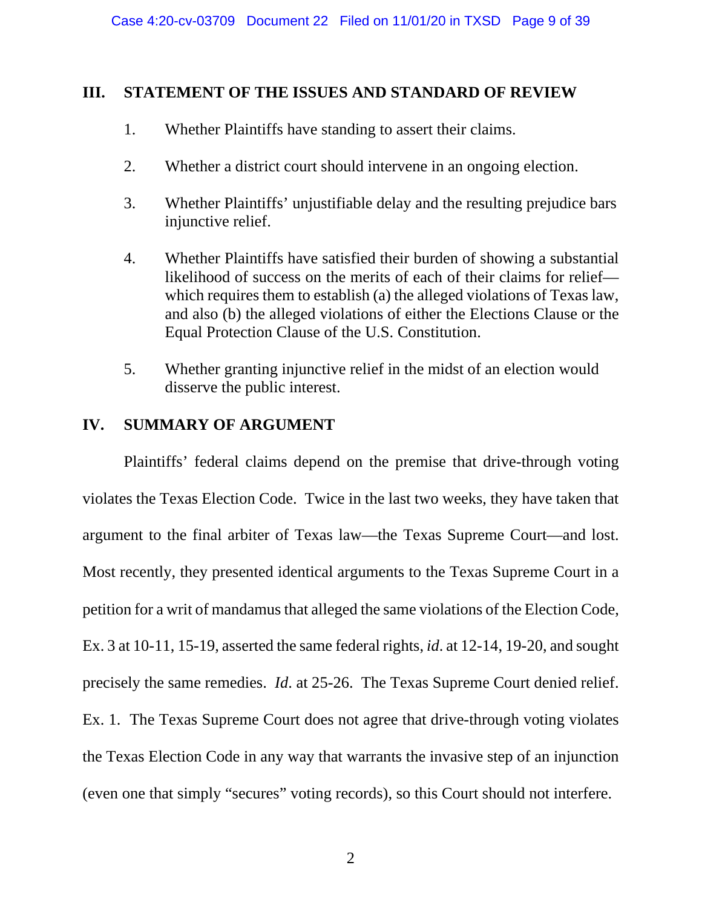## <span id="page-8-0"></span>**III. STATEMENT OF THE ISSUES AND STANDARD OF REVIEW**

- 1. Whether Plaintiffs have standing to assert their claims.
- 2. Whether a district court should intervene in an ongoing election.
- 3. Whether Plaintiffs' unjustifiable delay and the resulting prejudice bars injunctive relief.
- 4. Whether Plaintiffs have satisfied their burden of showing a substantial likelihood of success on the merits of each of their claims for relief which requires them to establish (a) the alleged violations of Texas law, and also (b) the alleged violations of either the Elections Clause or the Equal Protection Clause of the U.S. Constitution.
- 5. Whether granting injunctive relief in the midst of an election would disserve the public interest.

## <span id="page-8-1"></span>**IV. SUMMARY OF ARGUMENT**

Plaintiffs' federal claims depend on the premise that drive-through voting violates the Texas Election Code. Twice in the last two weeks, they have taken that argument to the final arbiter of Texas law—the Texas Supreme Court—and lost. Most recently, they presented identical arguments to the Texas Supreme Court in a petition for a writ of mandamus that alleged the same violations of the Election Code, Ex. 3 at 10-11, 15-19, asserted the same federal rights, *id*. at 12-14, 19-20, and sought precisely the same remedies. *Id*. at 25-26. The Texas Supreme Court denied relief. Ex. 1. The Texas Supreme Court does not agree that drive-through voting violates the Texas Election Code in any way that warrants the invasive step of an injunction (even one that simply "secures" voting records), so this Court should not interfere.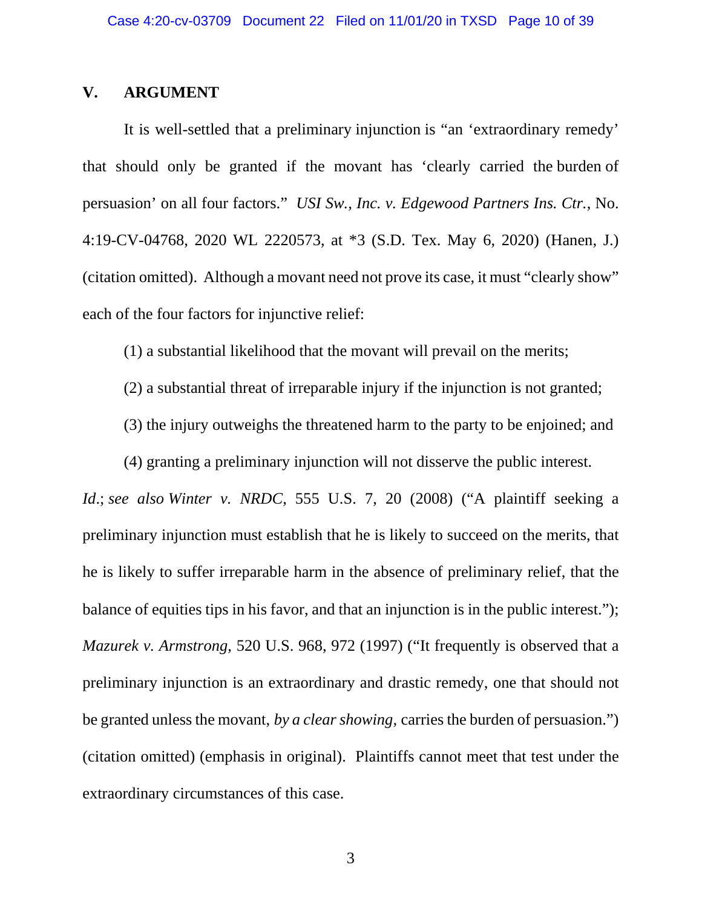#### <span id="page-9-0"></span>**V. ARGUMENT**

It is well-settled that a preliminary injunction is "an 'extraordinary remedy' that should only be granted if the movant has 'clearly carried the burden of persuasion' on all four factors." *USI Sw., Inc. v. Edgewood Partners Ins. Ctr.*, No. 4:19-CV-04768, 2020 WL 2220573, at \*3 (S.D. Tex. May 6, 2020) (Hanen, J.) (citation omitted). Although a movant need not prove its case, it must "clearly show" each of the four factors for injunctive relief:

<span id="page-9-2"></span>(1) a substantial likelihood that the movant will prevail on the merits;

- (2) a substantial threat of irreparable injury if the injunction is not granted;
- (3) the injury outweighs the threatened harm to the party to be enjoined; and

<span id="page-9-3"></span>(4) granting a preliminary injunction will not disserve the public interest.

<span id="page-9-1"></span>*Id*.; *see also Winter v. NRDC*, 555 U.S. 7, 20 (2008) ("A plaintiff seeking a preliminary injunction must establish that he is likely to succeed on the merits, that he is likely to suffer irreparable harm in the absence of preliminary relief, that the balance of equities tips in his favor, and that an injunction is in the public interest."); *Mazurek v. Armstrong*, 520 U.S. 968, 972 (1997) ("It frequently is observed that a preliminary injunction is an extraordinary and drastic remedy, one that should not be granted unless the movant, *by a clear showing,* carries the burden of persuasion.") (citation omitted) (emphasis in original). Plaintiffs cannot meet that test under the extraordinary circumstances of this case.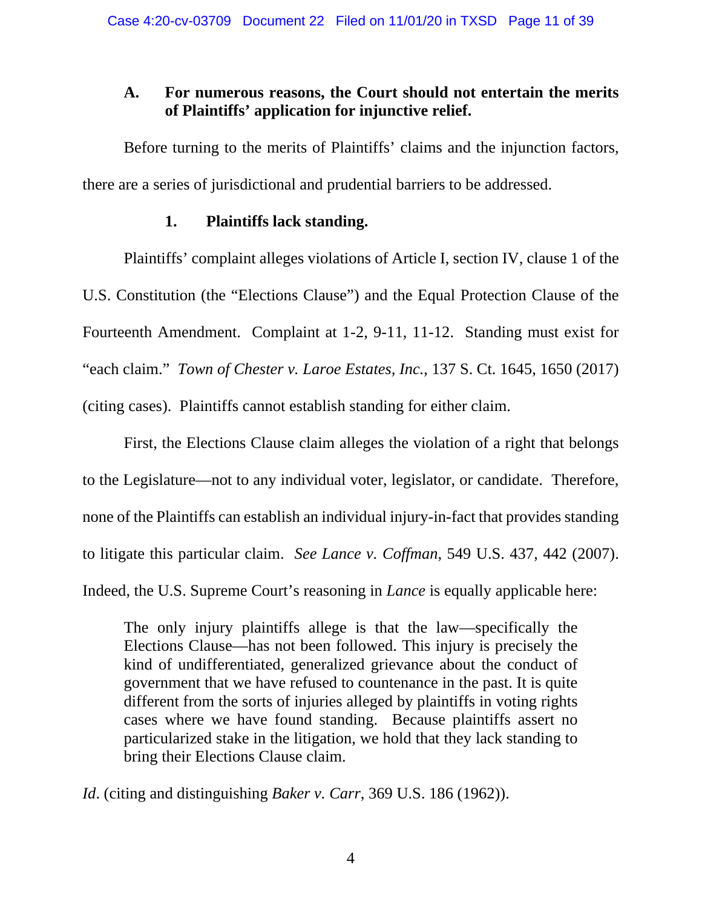# <span id="page-10-0"></span>**A. For numerous reasons, the Court should not entertain the merits of Plaintiffs' application for injunctive relief.**

Before turning to the merits of Plaintiffs' claims and the injunction factors, there are a series of jurisdictional and prudential barriers to be addressed.

## **1. Plaintiffs lack standing.**

<span id="page-10-1"></span>Plaintiffs' complaint alleges violations of Article I, section IV, clause 1 of the U.S. Constitution (the "Elections Clause") and the Equal Protection Clause of the Fourteenth Amendment. Complaint at 1-2, 9-11, 11-12. Standing must exist for "each claim." *Town of Chester v. Laroe Estates, Inc.*, 137 S. Ct. 1645, 1650 (2017) (citing cases). Plaintiffs cannot establish standing for either claim.

<span id="page-10-4"></span>First, the Elections Clause claim alleges the violation of a right that belongs to the Legislature—not to any individual voter, legislator, or candidate. Therefore, none of the Plaintiffs can establish an individual injury-in-fact that provides standing to litigate this particular claim. *See Lance v. Coffman*, 549 U.S. 437, 442 (2007). Indeed, the U.S. Supreme Court's reasoning in *Lance* is equally applicable here:

<span id="page-10-3"></span>The only injury plaintiffs allege is that the law—specifically the Elections Clause—has not been followed. This injury is precisely the kind of undifferentiated, generalized grievance about the conduct of government that we have refused to countenance in the past. It is quite different from the sorts of injuries alleged by plaintiffs in voting rights cases where we have found standing. Because plaintiffs assert no particularized stake in the litigation, we hold that they lack standing to bring their Elections Clause claim.

<span id="page-10-2"></span>*Id*. (citing and distinguishing *Baker v. Carr*, 369 U.S. 186 (1962)).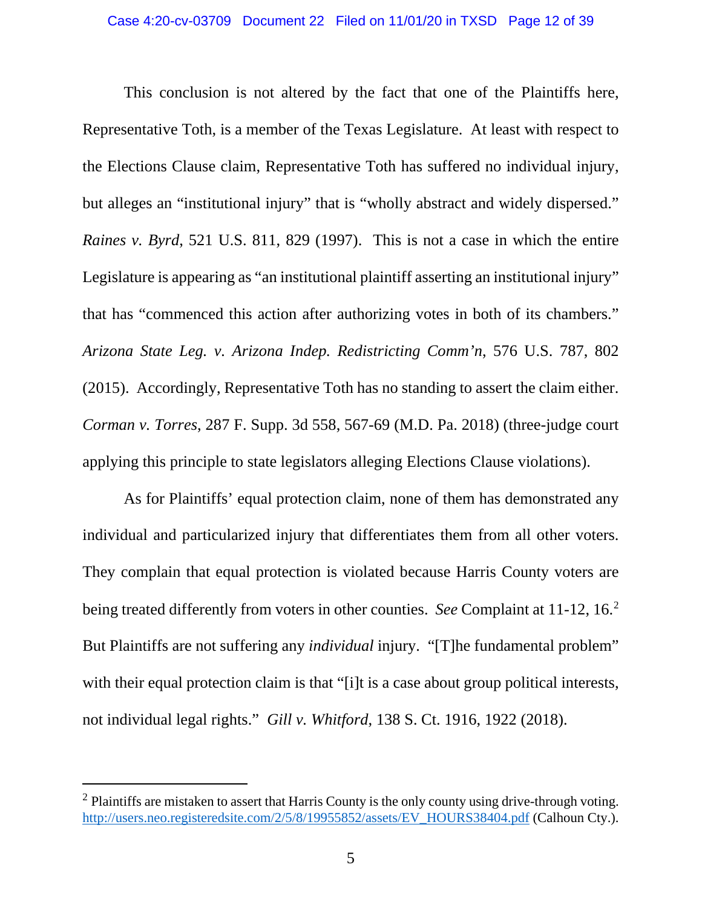<span id="page-11-3"></span>This conclusion is not altered by the fact that one of the Plaintiffs here, Representative Toth, is a member of the Texas Legislature. At least with respect to the Elections Clause claim, Representative Toth has suffered no individual injury, but alleges an "institutional injury" that is "wholly abstract and widely dispersed." *Raines v. Byrd*, 521 U.S. 811, 829 (1997). This is not a case in which the entire Legislature is appearing as "an institutional plaintiff asserting an institutional injury" that has "commenced this action after authorizing votes in both of its chambers." *Arizona State Leg. v. Arizona Indep. Redistricting Comm'n*, 576 U.S. 787, 802 (2015). Accordingly, Representative Toth has no standing to assert the claim either. *Corman v. Torres*, 287 F. Supp. 3d 558, 567-69 (M.D. Pa. 2018) (three-judge court applying this principle to state legislators alleging Elections Clause violations).

<span id="page-11-1"></span><span id="page-11-0"></span>As for Plaintiffs' equal protection claim, none of them has demonstrated any individual and particularized injury that differentiates them from all other voters. They complain that equal protection is violated because Harris County voters are being treated differently from voters in other counties. *See* Complaint at 11-12, 16. [2](#page-11-4) But Plaintiffs are not suffering any *individual* injury. "[T]he fundamental problem" with their equal protection claim is that "[i]t is a case about group political interests, not individual legal rights." *Gill v. Whitford*, 138 S. Ct. 1916, 1922 (2018).

<span id="page-11-4"></span><span id="page-11-2"></span> $2$  Plaintiffs are mistaken to assert that Harris County is the only county using drive-through voting. [http://users.neo.registeredsite.com/2/5/8/19955852/assets/EV\\_HOURS38404.pdf](http://users.neo.registeredsite.com/2/5/8/19955852/assets/EV_HOURS38404.pdf) (Calhoun Cty.).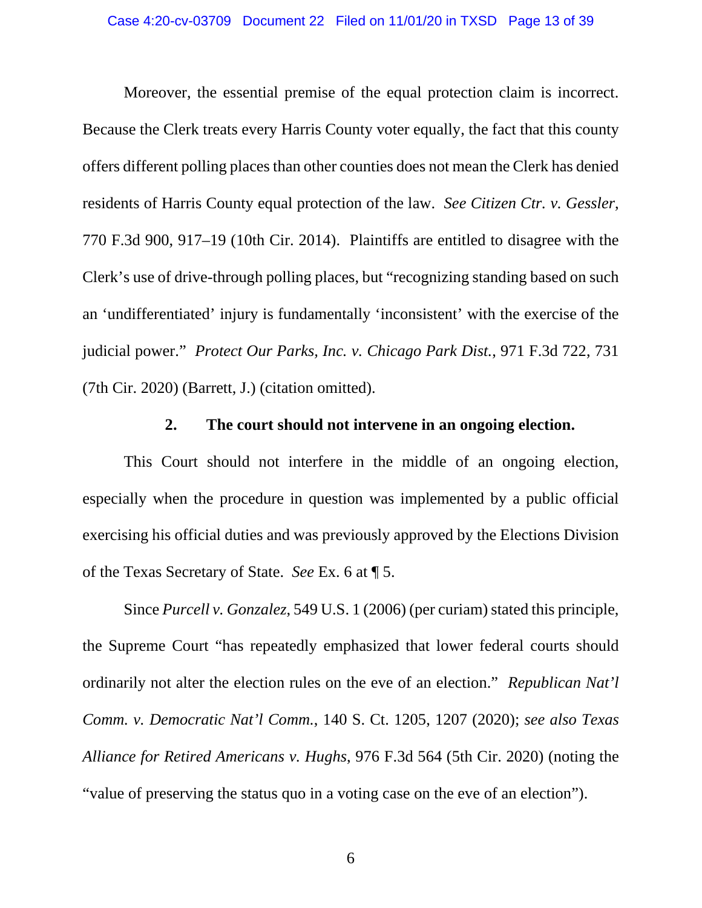Moreover, the essential premise of the equal protection claim is incorrect. Because the Clerk treats every Harris County voter equally, the fact that this county offers different polling places than other counties does not mean the Clerk has denied residents of Harris County equal protection of the law. *See Citizen Ctr. v. Gessler*, 770 F.3d 900, 917–19 (10th Cir. 2014). Plaintiffs are entitled to disagree with the Clerk's use of drive-through polling places, but "recognizing standing based on such an 'undifferentiated' injury is fundamentally 'inconsistent' with the exercise of the judicial power." *Protect Our Parks, Inc. v. Chicago Park Dist.*, 971 F.3d 722, 731 (7th Cir. 2020) (Barrett, J.) (citation omitted).

### <span id="page-12-5"></span><span id="page-12-4"></span><span id="page-12-2"></span><span id="page-12-1"></span>**2. The court should not intervene in an ongoing election.**

<span id="page-12-0"></span>This Court should not interfere in the middle of an ongoing election, especially when the procedure in question was implemented by a public official exercising his official duties and was previously approved by the Elections Division of the Texas Secretary of State. *See* Ex. 6 at ¶ 5.

<span id="page-12-3"></span>Since *Purcell v. Gonzalez*, 549 U.S. 1 (2006) (per curiam) stated this principle, the Supreme Court "has repeatedly emphasized that lower federal courts should ordinarily not alter the election rules on the eve of an election." *Republican Nat'l Comm. v. Democratic Nat'l Comm.*, 140 S. Ct. 1205, 1207 (2020); *see also Texas Alliance for Retired Americans v. Hughs*, 976 F.3d 564 (5th Cir. 2020) (noting the "value of preserving the status quo in a voting case on the eve of an election").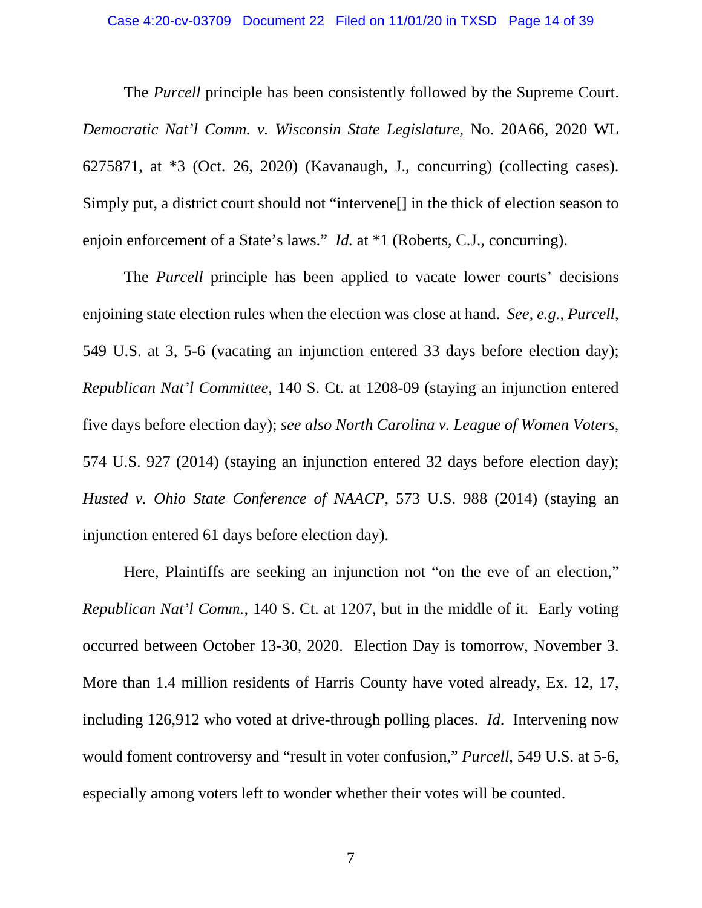<span id="page-13-0"></span>The *Purcell* principle has been consistently followed by the Supreme Court. *Democratic Nat'l Comm. v. Wisconsin State Legislature*, No. 20A66, 2020 WL 6275871, at \*3 (Oct. 26, 2020) (Kavanaugh, J., concurring) (collecting cases). Simply put, a district court should not "intervene[] in the thick of election season to enjoin enforcement of a State's laws." *Id.* at \*1 (Roberts, C.J., concurring).

<span id="page-13-4"></span><span id="page-13-3"></span><span id="page-13-2"></span>The *Purcell* principle has been applied to vacate lower courts' decisions enjoining state election rules when the election was close at hand. *See, e.g.*, *Purcell*, 549 U.S. at 3, 5-6 (vacating an injunction entered 33 days before election day); *Republican Nat'l Committee*, 140 S. Ct. at 1208-09 (staying an injunction entered five days before election day); *see also North Carolina v. League of Women Voters*, 574 U.S. 927 (2014) (staying an injunction entered 32 days before election day); *Husted v. Ohio State Conference of NAACP*, 573 U.S. 988 (2014) (staying an injunction entered 61 days before election day).

<span id="page-13-1"></span>Here, Plaintiffs are seeking an injunction not "on the eve of an election," *Republican Nat'l Comm.*, 140 S. Ct. at 1207, but in the middle of it. Early voting occurred between October 13-30, 2020. Election Day is tomorrow, November 3. More than 1.4 million residents of Harris County have voted already, Ex. 12, 17, including 126,912 who voted at drive-through polling places. *Id*. Intervening now would foment controversy and "result in voter confusion," *Purcell*, 549 U.S. at 5-6, especially among voters left to wonder whether their votes will be counted.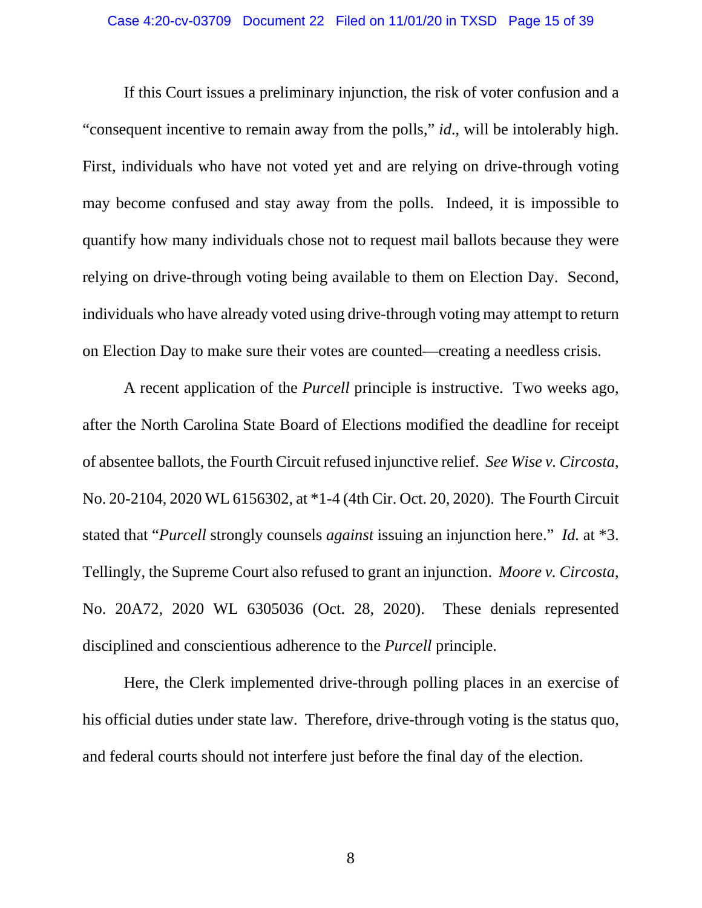#### <span id="page-14-1"></span>Case 4:20-cv-03709 Document 22 Filed on 11/01/20 in TXSD Page 15 of 39

If this Court issues a preliminary injunction, the risk of voter confusion and a "consequent incentive to remain away from the polls," *id*., will be intolerably high. First, individuals who have not voted yet and are relying on drive-through voting may become confused and stay away from the polls. Indeed, it is impossible to quantify how many individuals chose not to request mail ballots because they were relying on drive-through voting being available to them on Election Day. Second, individuals who have already voted using drive-through voting may attempt to return on Election Day to make sure their votes are counted—creating a needless crisis.

<span id="page-14-2"></span>A recent application of the *Purcell* principle is instructive. Two weeks ago, after the North Carolina State Board of Elections modified the deadline for receipt of absentee ballots, the Fourth Circuit refused injunctive relief. *See Wise v. Circosta*, No. 20-2104, 2020 WL 6156302, at \*1-4 (4th Cir. Oct. 20, 2020). The Fourth Circuit stated that "*Purcell* strongly counsels *against* issuing an injunction here." *Id.* at \*3. Tellingly, the Supreme Court also refused to grant an injunction. *Moore v. Circosta*, No. 20A72, 2020 WL 6305036 (Oct. 28, 2020). These denials represented disciplined and conscientious adherence to the *Purcell* principle.

<span id="page-14-0"></span>Here, the Clerk implemented drive-through polling places in an exercise of his official duties under state law. Therefore, drive-through voting is the status quo, and federal courts should not interfere just before the final day of the election.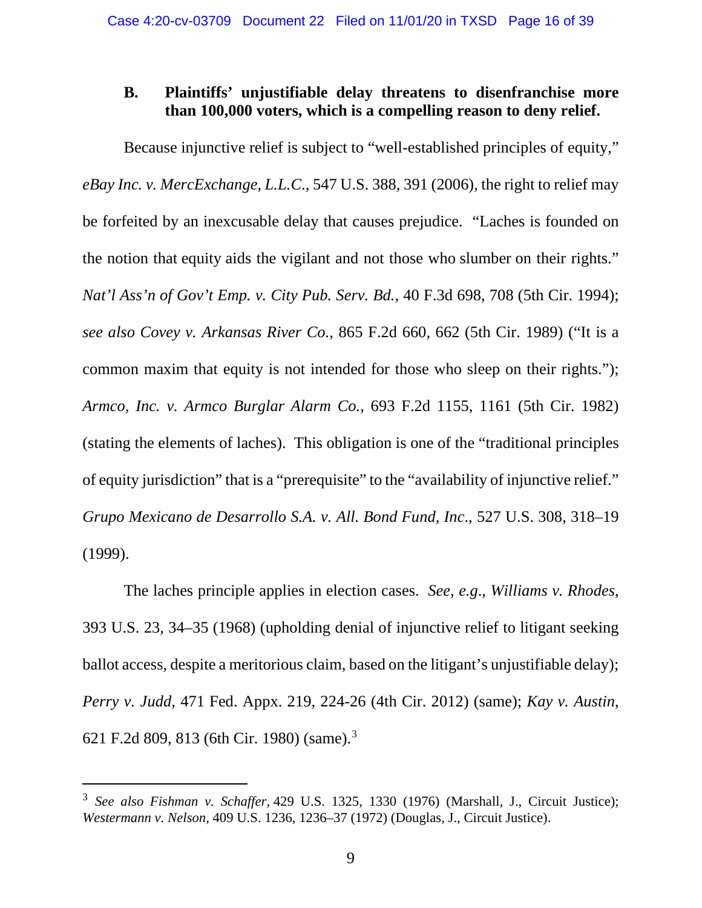## <span id="page-15-0"></span>**B. Plaintiffs' unjustifiable delay threatens to disenfranchise more than 100,000 voters, which is a compelling reason to deny relief.**

<span id="page-15-7"></span><span id="page-15-3"></span><span id="page-15-2"></span>Because injunctive relief is subject to "well-established principles of equity," *eBay Inc. v. MercExchange, L.L.C*., 547 U.S. 388, 391 (2006), the right to relief may be forfeited by an inexcusable delay that causes prejudice. "Laches is founded on the notion that equity aids the vigilant and not those who slumber on their rights." *Nat'l Ass'n of Gov't Emp. v. City Pub. Serv. Bd.*, 40 F.3d 698, 708 (5th Cir. 1994); *see also Covey v. Arkansas River Co.*, 865 F.2d 660, 662 (5th Cir. 1989) ("It is a common maxim that equity is not intended for those who sleep on their rights."); *Armco, Inc. v. Armco Burglar Alarm Co.*, 693 F.2d 1155, 1161 (5th Cir. 1982) (stating the elements of laches). This obligation is one of the "traditional principles of equity jurisdiction" that is a "prerequisite" to the "availability of injunctive relief." *Grupo Mexicano de Desarrollo S.A. v. All. Bond Fund, Inc*., 527 U.S. 308, 318–19 (1999).

<span id="page-15-10"></span><span id="page-15-5"></span><span id="page-15-1"></span>The laches principle applies in election cases. *See*, *e.g*., *Williams v. Rhodes*, 393 U.S. 23, 34–35 (1968) (upholding denial of injunctive relief to litigant seeking ballot access, despite a meritorious claim, based on the litigant's unjustifiable delay); *Perry v. Judd*, 471 Fed. Appx. 219, 224-26 (4th Cir. 2012) (same); *Kay v. Austin*, 621 F.2d 809, 813 (6th Cir. 1980) (same). [3](#page-15-11)

<span id="page-15-11"></span><span id="page-15-9"></span><span id="page-15-8"></span><span id="page-15-6"></span><span id="page-15-4"></span><sup>3</sup> *See also Fishman v. Schaffer,* 429 U.S. 1325, 1330 (1976) (Marshall, J., Circuit Justice); *Westermann v. Nelson,* 409 U.S. 1236, 1236–37 (1972) (Douglas, J., Circuit Justice).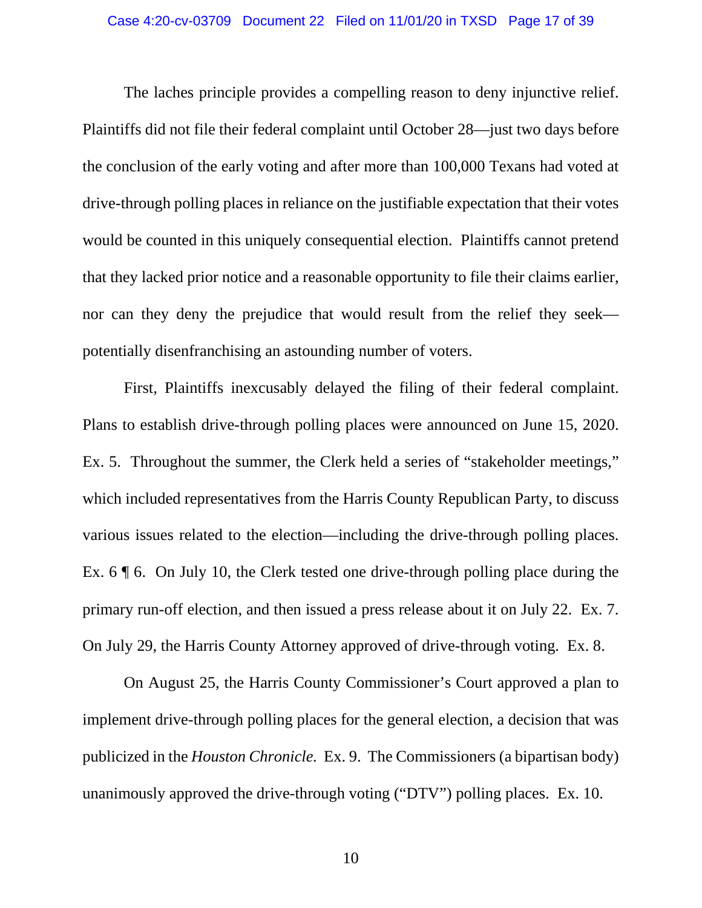The laches principle provides a compelling reason to deny injunctive relief. Plaintiffs did not file their federal complaint until October 28—just two days before the conclusion of the early voting and after more than 100,000 Texans had voted at drive-through polling places in reliance on the justifiable expectation that their votes would be counted in this uniquely consequential election. Plaintiffs cannot pretend that they lacked prior notice and a reasonable opportunity to file their claims earlier, nor can they deny the prejudice that would result from the relief they seek potentially disenfranchising an astounding number of voters.

First, Plaintiffs inexcusably delayed the filing of their federal complaint. Plans to establish drive-through polling places were announced on June 15, 2020. Ex. 5. Throughout the summer, the Clerk held a series of "stakeholder meetings," which included representatives from the Harris County Republican Party, to discuss various issues related to the election—including the drive-through polling places. Ex. 6 ¶ 6. On July 10, the Clerk tested one drive-through polling place during the primary run-off election, and then issued a press release about it on July 22. Ex. 7. On July 29, the Harris County Attorney approved of drive-through voting. Ex. 8.

On August 25, the Harris County Commissioner's Court approved a plan to implement drive-through polling places for the general election, a decision that was publicized in the *Houston Chronicle.* Ex. 9. The Commissioners (a bipartisan body) unanimously approved the drive-through voting ("DTV") polling places. Ex. 10.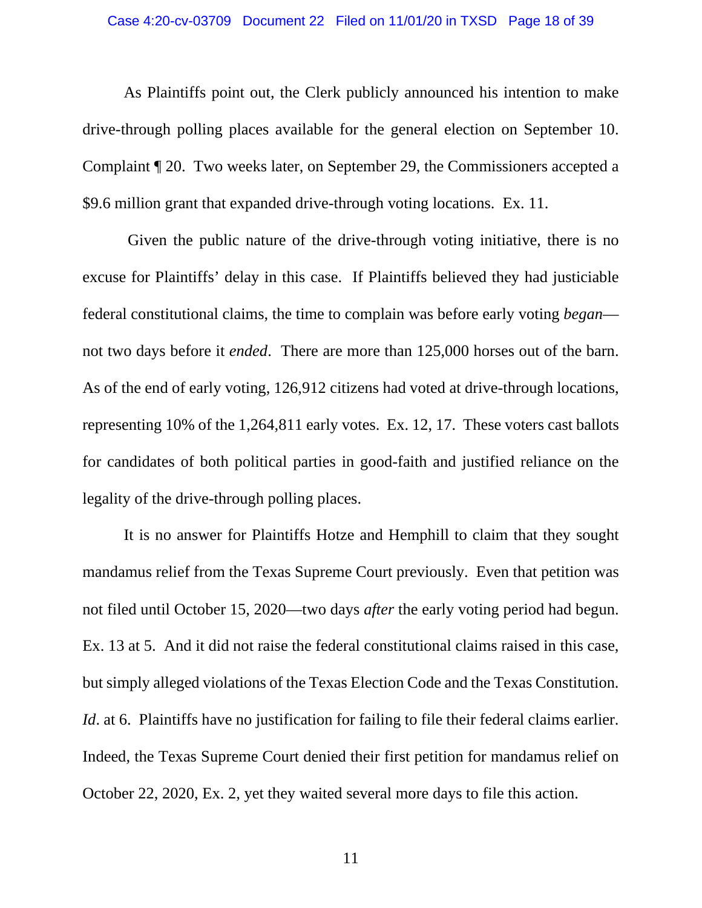#### Case 4:20-cv-03709 Document 22 Filed on 11/01/20 in TXSD Page 18 of 39

As Plaintiffs point out, the Clerk publicly announced his intention to make drive-through polling places available for the general election on September 10. Complaint ¶ 20. Two weeks later, on September 29, the Commissioners accepted a \$9.6 million grant that expanded drive-through voting locations. Ex. 11.

Given the public nature of the drive-through voting initiative, there is no excuse for Plaintiffs' delay in this case. If Plaintiffs believed they had justiciable federal constitutional claims, the time to complain was before early voting *began* not two days before it *ended*. There are more than 125,000 horses out of the barn. As of the end of early voting, 126,912 citizens had voted at drive-through locations, representing 10% of the 1,264,811 early votes. Ex. 12, 17. These voters cast ballots for candidates of both political parties in good-faith and justified reliance on the legality of the drive-through polling places.

It is no answer for Plaintiffs Hotze and Hemphill to claim that they sought mandamus relief from the Texas Supreme Court previously. Even that petition was not filed until October 15, 2020—two days *after* the early voting period had begun. Ex. 13 at 5. And it did not raise the federal constitutional claims raised in this case, but simply alleged violations of the Texas Election Code and the Texas Constitution. *Id.* at 6. Plaintiffs have no justification for failing to file their federal claims earlier. Indeed, the Texas Supreme Court denied their first petition for mandamus relief on October 22, 2020, Ex. 2, yet they waited several more days to file this action.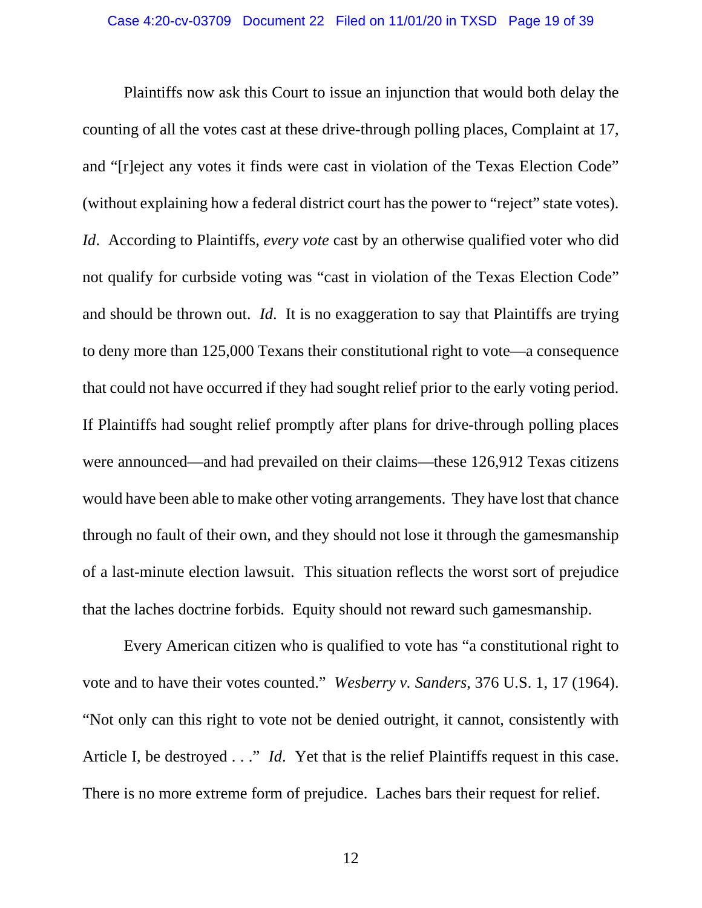Plaintiffs now ask this Court to issue an injunction that would both delay the counting of all the votes cast at these drive-through polling places, Complaint at 17, and "[r]eject any votes it finds were cast in violation of the Texas Election Code" (without explaining how a federal district court has the power to "reject" state votes). *Id*. According to Plaintiffs, *every vote* cast by an otherwise qualified voter who did not qualify for curbside voting was "cast in violation of the Texas Election Code" and should be thrown out. *Id*. It is no exaggeration to say that Plaintiffs are trying to deny more than 125,000 Texans their constitutional right to vote—a consequence that could not have occurred if they had sought relief prior to the early voting period. If Plaintiffs had sought relief promptly after plans for drive-through polling places were announced—and had prevailed on their claims—these 126,912 Texas citizens would have been able to make other voting arrangements. They have lost that chance through no fault of their own, and they should not lose it through the gamesmanship of a last-minute election lawsuit. This situation reflects the worst sort of prejudice that the laches doctrine forbids. Equity should not reward such gamesmanship.

<span id="page-18-0"></span>Every American citizen who is qualified to vote has "a constitutional right to vote and to have their votes counted." *Wesberry v. Sanders*, 376 U.S. 1, 17 (1964). "Not only can this right to vote not be denied outright, it cannot, consistently with Article I, be destroyed . . ." *Id*. Yet that is the relief Plaintiffs request in this case. There is no more extreme form of prejudice. Laches bars their request for relief.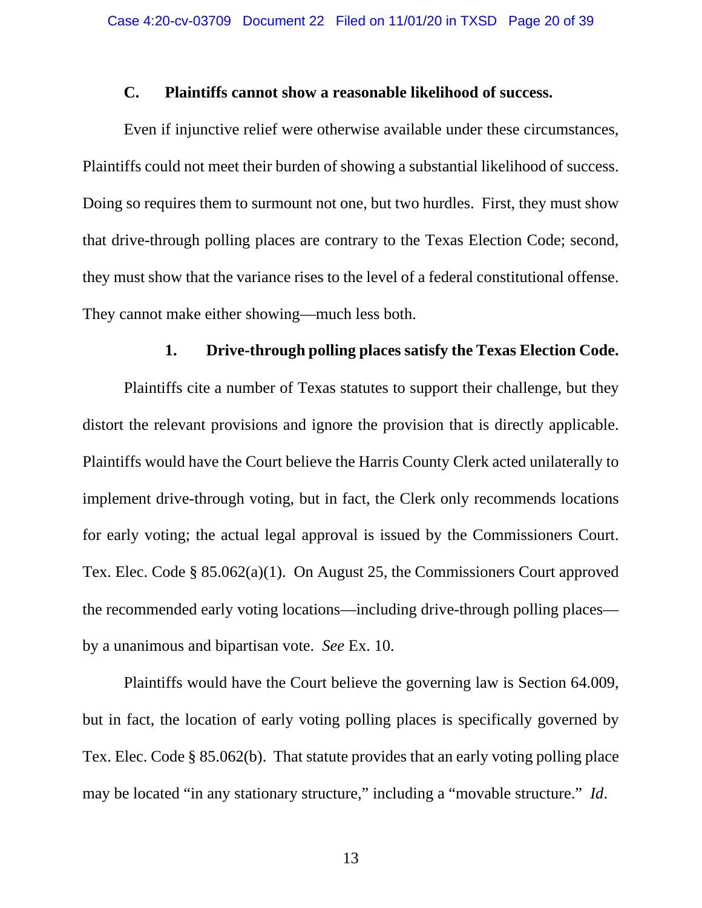#### **C. Plaintiffs cannot show a reasonable likelihood of success.**

<span id="page-19-0"></span>Even if injunctive relief were otherwise available under these circumstances, Plaintiffs could not meet their burden of showing a substantial likelihood of success. Doing so requires them to surmount not one, but two hurdles. First, they must show that drive-through polling places are contrary to the Texas Election Code; second, they must show that the variance rises to the level of a federal constitutional offense. They cannot make either showing—much less both.

## **1. Drive-through polling places satisfy the Texas Election Code.**

<span id="page-19-1"></span>Plaintiffs cite a number of Texas statutes to support their challenge, but they distort the relevant provisions and ignore the provision that is directly applicable. Plaintiffs would have the Court believe the Harris County Clerk acted unilaterally to implement drive-through voting, but in fact, the Clerk only recommends locations for early voting; the actual legal approval is issued by the Commissioners Court. Tex. Elec. Code § 85.062(a)(1). On August 25, the Commissioners Court approved the recommended early voting locations—including drive-through polling places by a unanimous and bipartisan vote. *See* Ex. 10.

<span id="page-19-4"></span><span id="page-19-3"></span><span id="page-19-2"></span>Plaintiffs would have the Court believe the governing law is Section 64.009, but in fact, the location of early voting polling places is specifically governed by Tex. Elec. Code § 85.062(b). That statute provides that an early voting polling place may be located "in any stationary structure," including a "movable structure." *Id*.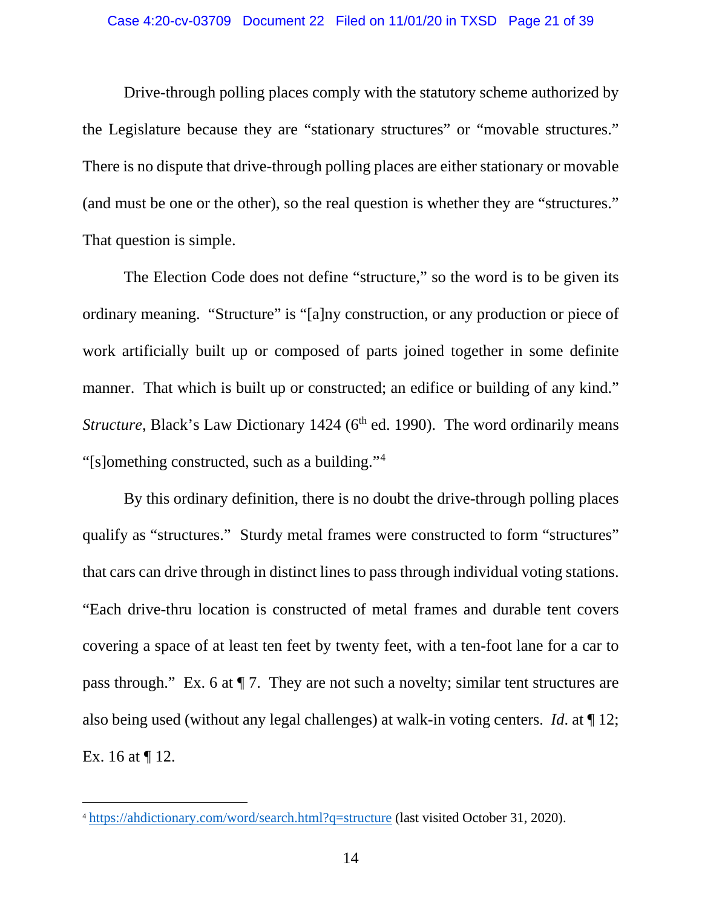Drive-through polling places comply with the statutory scheme authorized by the Legislature because they are "stationary structures" or "movable structures." There is no dispute that drive-through polling places are either stationary or movable (and must be one or the other), so the real question is whether they are "structures." That question is simple.

The Election Code does not define "structure," so the word is to be given its ordinary meaning. "Structure" is "[a]ny construction, or any production or piece of work artificially built up or composed of parts joined together in some definite manner. That which is built up or constructed; an edifice or building of any kind." *Structure*, Black's Law Dictionary 1424 (6<sup>th</sup> ed. 1990). The word ordinarily means "[s]omething constructed, such as a building."[4](#page-20-1)

<span id="page-20-0"></span>By this ordinary definition, there is no doubt the drive-through polling places qualify as "structures." Sturdy metal frames were constructed to form "structures" that cars can drive through in distinct lines to pass through individual voting stations. "Each drive-thru location is constructed of metal frames and durable tent covers covering a space of at least ten feet by twenty feet, with a ten-foot lane for a car to pass through." Ex. 6 at ¶ 7. They are not such a novelty; similar tent structures are also being used (without any legal challenges) at walk-in voting centers. *Id*. at ¶ 12; Ex. 16 at ¶ 12.

<span id="page-20-1"></span><sup>4</sup> <https://ahdictionary.com/word/search.html?q=structure> (last visited October 31, 2020).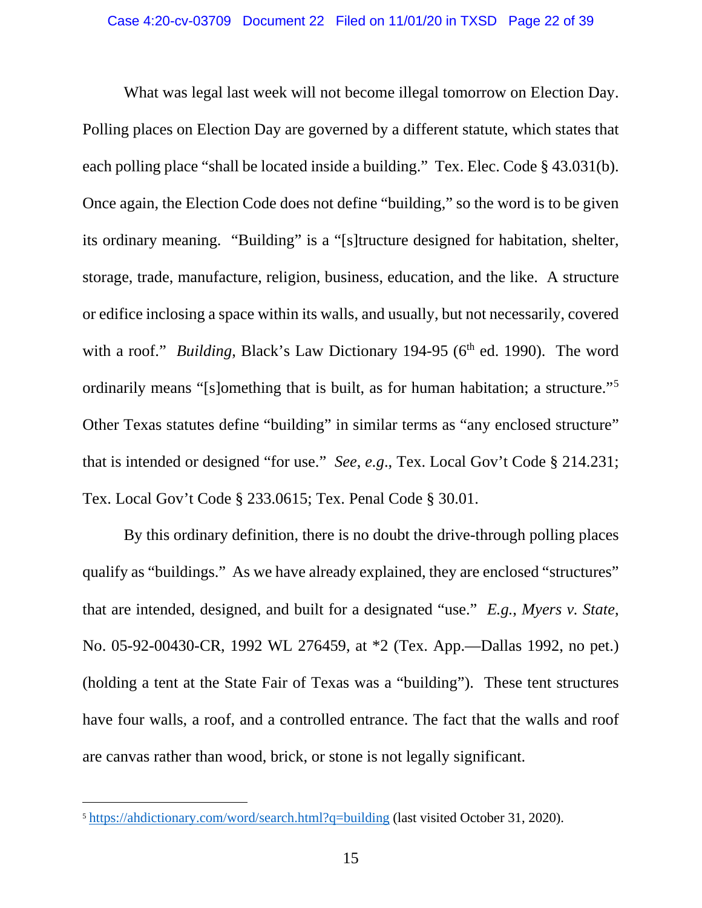<span id="page-21-3"></span>What was legal last week will not become illegal tomorrow on Election Day. Polling places on Election Day are governed by a different statute, which states that each polling place "shall be located inside a building." Tex. Elec. Code § 43.031(b). Once again, the Election Code does not define "building," so the word is to be given its ordinary meaning. "Building" is a "[s]tructure designed for habitation, shelter, storage, trade, manufacture, religion, business, education, and the like. A structure or edifice inclosing a space within its walls, and usually, but not necessarily, covered with a roof." *Building*, Black's Law Dictionary 194-95 (6<sup>th</sup> ed. 1990). The word ordinarily means "[s]omething that is built, as for human habitation; a structure."<sup>[5](#page-21-6)</sup> Other Texas statutes define "building" in similar terms as "any enclosed structure" that is intended or designed "for use." *See*, *e.g*., Tex. Local Gov't Code § 214.231; Tex. Local Gov't Code § 233.0615; Tex. Penal Code § 30.01.

<span id="page-21-5"></span><span id="page-21-4"></span><span id="page-21-2"></span><span id="page-21-1"></span><span id="page-21-0"></span>By this ordinary definition, there is no doubt the drive-through polling places qualify as "buildings." As we have already explained, they are enclosed "structures" that are intended, designed, and built for a designated "use." *E.g.*, *Myers v. State*, No. 05-92-00430-CR, 1992 WL 276459, at \*2 (Tex. App.—Dallas 1992, no pet.) (holding a tent at the State Fair of Texas was a "building"). These tent structures have four walls, a roof, and a controlled entrance. The fact that the walls and roof are canvas rather than wood, brick, or stone is not legally significant.

<span id="page-21-6"></span><sup>&</sup>lt;sup>5</sup> <https://ahdictionary.com/word/search.html?q=building> (last visited October 31, 2020).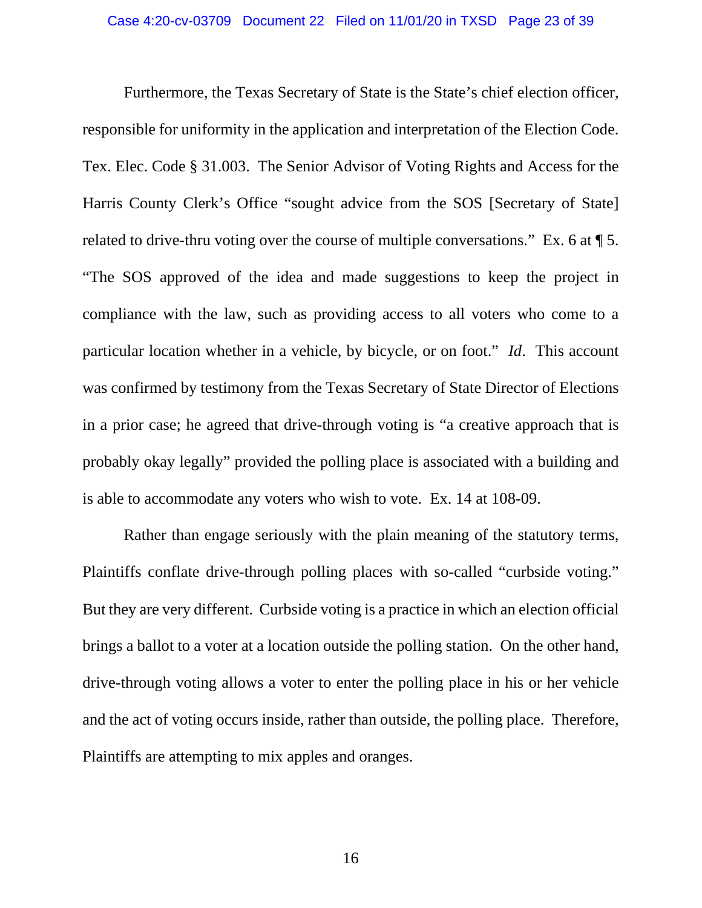<span id="page-22-0"></span>Furthermore, the Texas Secretary of State is the State's chief election officer, responsible for uniformity in the application and interpretation of the Election Code. Tex. Elec. Code § 31.003. The Senior Advisor of Voting Rights and Access for the Harris County Clerk's Office "sought advice from the SOS [Secretary of State] related to drive-thru voting over the course of multiple conversations." Ex. 6 at ¶ 5. "The SOS approved of the idea and made suggestions to keep the project in compliance with the law, such as providing access to all voters who come to a particular location whether in a vehicle, by bicycle, or on foot." *Id*. This account was confirmed by testimony from the Texas Secretary of State Director of Elections in a prior case; he agreed that drive-through voting is "a creative approach that is probably okay legally" provided the polling place is associated with a building and is able to accommodate any voters who wish to vote. Ex. 14 at 108-09.

Rather than engage seriously with the plain meaning of the statutory terms, Plaintiffs conflate drive-through polling places with so-called "curbside voting." But they are very different. Curbside voting is a practice in which an election official brings a ballot to a voter at a location outside the polling station. On the other hand, drive-through voting allows a voter to enter the polling place in his or her vehicle and the act of voting occurs inside, rather than outside, the polling place. Therefore, Plaintiffs are attempting to mix apples and oranges.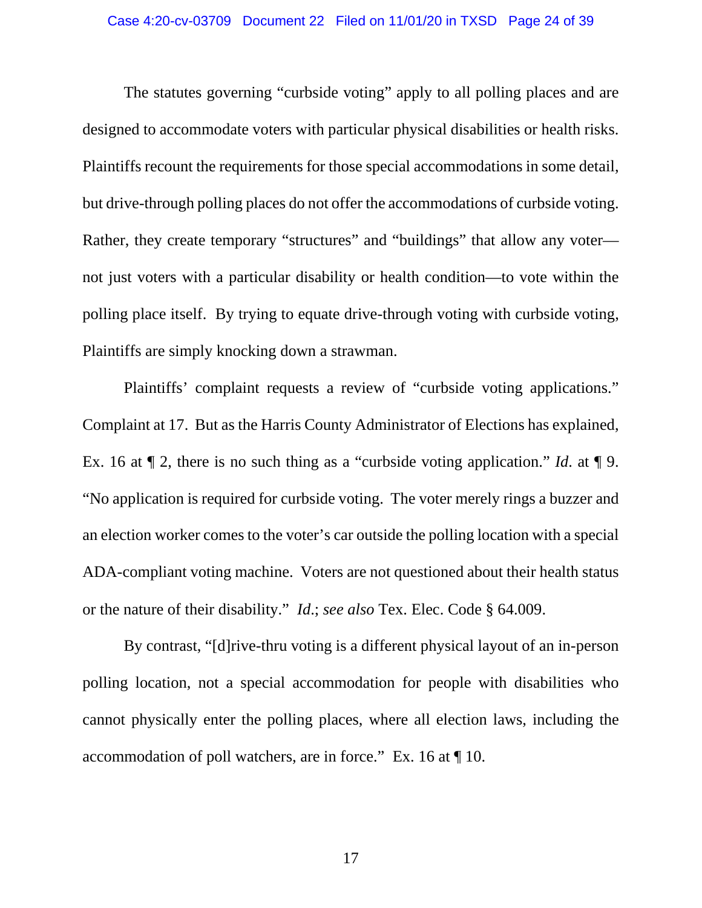The statutes governing "curbside voting" apply to all polling places and are designed to accommodate voters with particular physical disabilities or health risks. Plaintiffs recount the requirements for those special accommodations in some detail, but drive-through polling places do not offer the accommodations of curbside voting. Rather, they create temporary "structures" and "buildings" that allow any voter not just voters with a particular disability or health condition—to vote within the polling place itself. By trying to equate drive-through voting with curbside voting, Plaintiffs are simply knocking down a strawman.

Plaintiffs' complaint requests a review of "curbside voting applications." Complaint at 17. But as the Harris County Administrator of Elections has explained, Ex. 16 at ¶ 2, there is no such thing as a "curbside voting application." *Id*. at ¶ 9. "No application is required for curbside voting. The voter merely rings a buzzer and an election worker comes to the voter's car outside the polling location with a special ADA-compliant voting machine. Voters are not questioned about their health status or the nature of their disability." *Id*.; *see also* Tex. Elec. Code § 64.009.

<span id="page-23-0"></span>By contrast, "[d]rive-thru voting is a different physical layout of an in-person polling location, not a special accommodation for people with disabilities who cannot physically enter the polling places, where all election laws, including the accommodation of poll watchers, are in force." Ex. 16 at ¶ 10.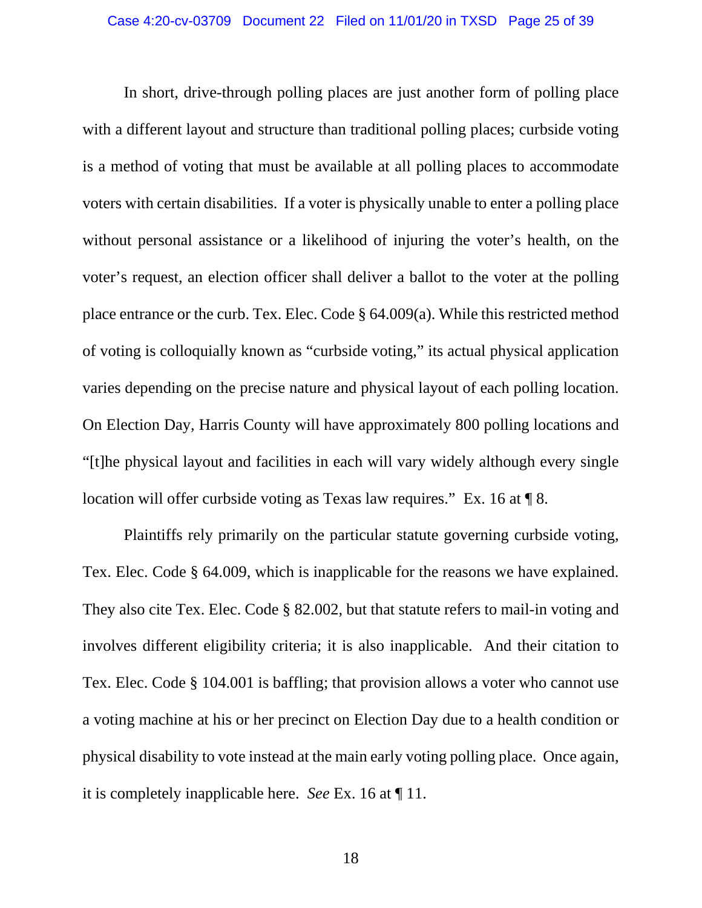<span id="page-24-1"></span>In short, drive-through polling places are just another form of polling place with a different layout and structure than traditional polling places; curbside voting is a method of voting that must be available at all polling places to accommodate voters with certain disabilities. If a voter is physically unable to enter a polling place without personal assistance or a likelihood of injuring the voter's health, on the voter's request, an election officer shall deliver a ballot to the voter at the polling place entrance or the curb. Tex. Elec. Code § 64.009(a). While this restricted method of voting is colloquially known as "curbside voting," its actual physical application varies depending on the precise nature and physical layout of each polling location. On Election Day, Harris County will have approximately 800 polling locations and "[t]he physical layout and facilities in each will vary widely although every single location will offer curbside voting as Texas law requires." Ex. 16 at  $\P$  8.

<span id="page-24-3"></span><span id="page-24-2"></span><span id="page-24-0"></span>Plaintiffs rely primarily on the particular statute governing curbside voting, Tex. Elec. Code § 64.009, which is inapplicable for the reasons we have explained. They also cite Tex. Elec. Code § 82.002, but that statute refers to mail-in voting and involves different eligibility criteria; it is also inapplicable. And their citation to Tex. Elec. Code § 104.001 is baffling; that provision allows a voter who cannot use a voting machine at his or her precinct on Election Day due to a health condition or physical disability to vote instead at the main early voting polling place. Once again, it is completely inapplicable here. *See* Ex. 16 at ¶ 11.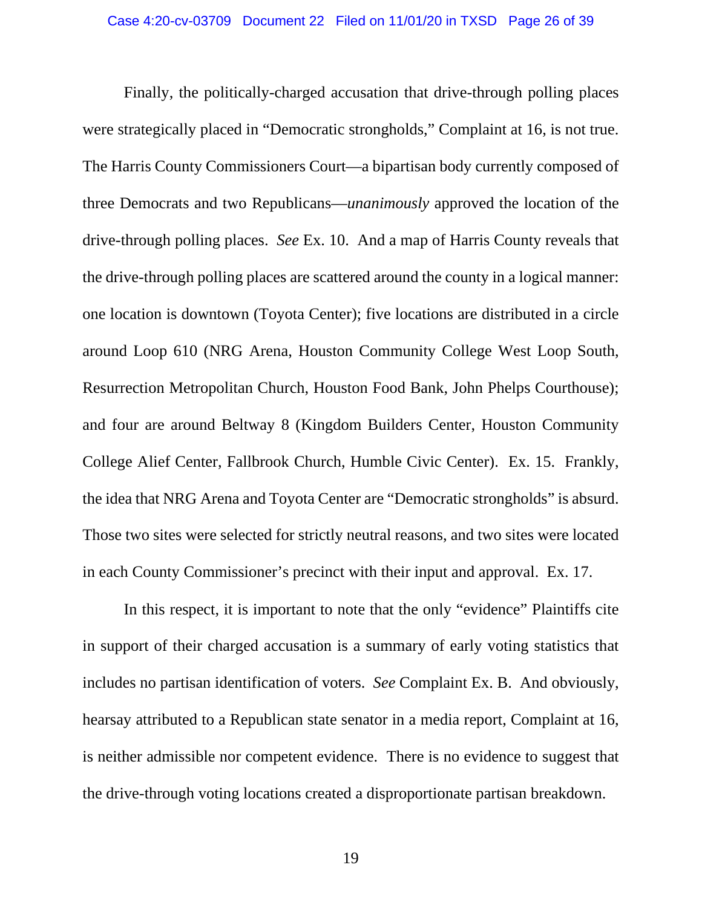Finally, the politically-charged accusation that drive-through polling places were strategically placed in "Democratic strongholds," Complaint at 16, is not true. The Harris County Commissioners Court—a bipartisan body currently composed of three Democrats and two Republicans—*unanimously* approved the location of the drive-through polling places. *See* Ex. 10. And a map of Harris County reveals that the drive-through polling places are scattered around the county in a logical manner: one location is downtown (Toyota Center); five locations are distributed in a circle around Loop 610 (NRG Arena, Houston Community College West Loop South, Resurrection Metropolitan Church, Houston Food Bank, John Phelps Courthouse); and four are around Beltway 8 (Kingdom Builders Center, Houston Community College Alief Center, Fallbrook Church, Humble Civic Center). Ex. 15. Frankly, the idea that NRG Arena and Toyota Center are "Democratic strongholds" is absurd. Those two sites were selected for strictly neutral reasons, and two sites were located in each County Commissioner's precinct with their input and approval. Ex. 17.

In this respect, it is important to note that the only "evidence" Plaintiffs cite in support of their charged accusation is a summary of early voting statistics that includes no partisan identification of voters. *See* Complaint Ex. B. And obviously, hearsay attributed to a Republican state senator in a media report, Complaint at 16, is neither admissible nor competent evidence. There is no evidence to suggest that the drive-through voting locations created a disproportionate partisan breakdown.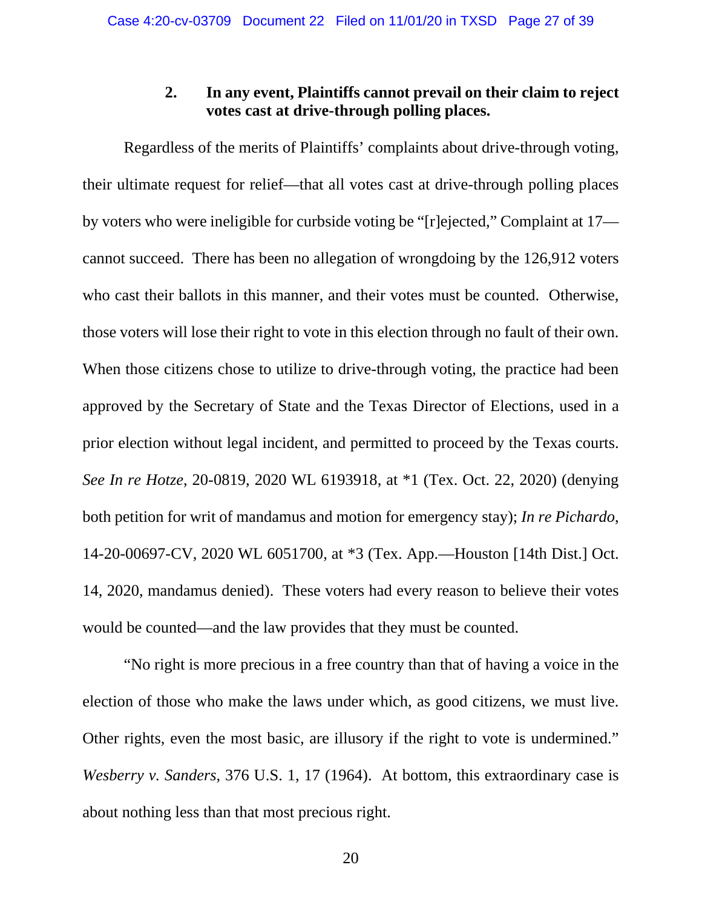## **2. In any event, Plaintiffs cannot prevail on their claim to reject votes cast at drive-through polling places.**

<span id="page-26-0"></span>Regardless of the merits of Plaintiffs' complaints about drive-through voting, their ultimate request for relief—that all votes cast at drive-through polling places by voters who were ineligible for curbside voting be "[r]ejected," Complaint at 17 cannot succeed. There has been no allegation of wrongdoing by the 126,912 voters who cast their ballots in this manner, and their votes must be counted. Otherwise, those voters will lose their right to vote in this election through no fault of their own. When those citizens chose to utilize to drive-through voting, the practice had been approved by the Secretary of State and the Texas Director of Elections, used in a prior election without legal incident, and permitted to proceed by the Texas courts. *See In re Hotze*, 20-0819, 2020 WL 6193918, at \*1 (Tex. Oct. 22, 2020) (denying both petition for writ of mandamus and motion for emergency stay); *In re Pichardo*, 14-20-00697-CV, 2020 WL 6051700, at \*3 (Tex. App.—Houston [14th Dist.] Oct. 14, 2020, mandamus denied). These voters had every reason to believe their votes would be counted—and the law provides that they must be counted.

<span id="page-26-3"></span><span id="page-26-2"></span><span id="page-26-1"></span>"No right is more precious in a free country than that of having a voice in the election of those who make the laws under which, as good citizens, we must live. Other rights, even the most basic, are illusory if the right to vote is undermined." *Wesberry v. Sanders*, 376 U.S. 1, 17 (1964). At bottom, this extraordinary case is about nothing less than that most precious right.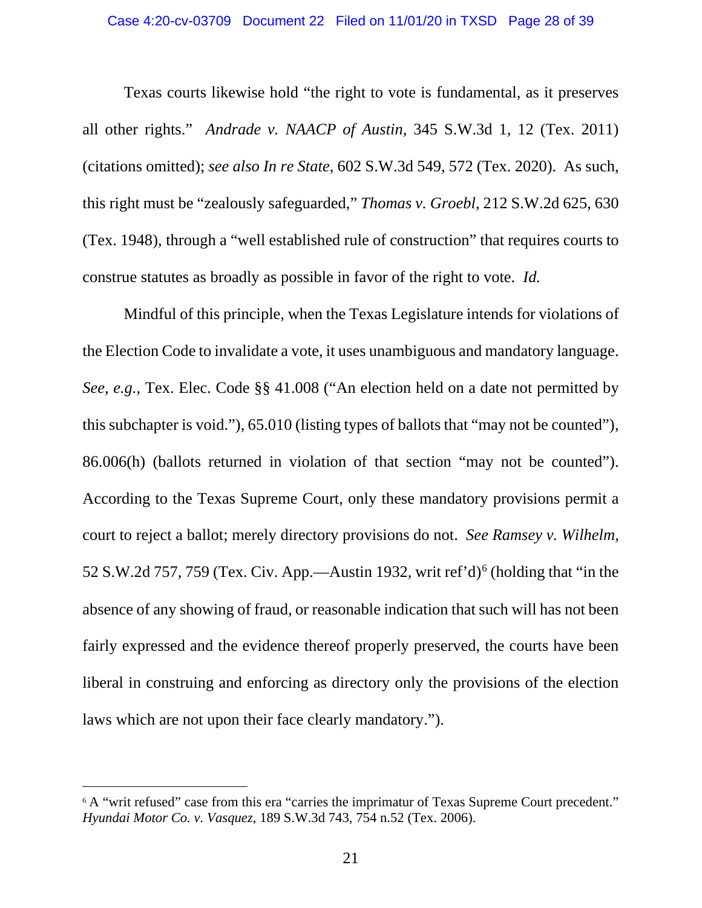<span id="page-27-4"></span><span id="page-27-3"></span><span id="page-27-0"></span>Texas courts likewise hold "the right to vote is fundamental, as it preserves all other rights." *Andrade v. NAACP of Austin,* 345 S.W.3d 1, 12 (Tex. 2011) (citations omitted); *see also In re State*, 602 S.W.3d 549, 572 (Tex. 2020). As such, this right must be "zealously safeguarded," *Thomas v. Groebl*, 212 S.W.2d 625, 630 (Tex. 1948), through a "well established rule of construction" that requires courts to construe statutes as broadly as possible in favor of the right to vote. *Id.*

<span id="page-27-5"></span><span id="page-27-2"></span>Mindful of this principle, when the Texas Legislature intends for violations of the Election Code to invalidate a vote, it uses unambiguous and mandatory language. *See, e.g.*, Tex. Elec. Code §§ 41.008 ("An election held on a date not permitted by this subchapter is void."), 65.010 (listing types of ballots that "may not be counted"), 86.006(h) (ballots returned in violation of that section "may not be counted"). According to the Texas Supreme Court, only these mandatory provisions permit a court to reject a ballot; merely directory provisions do not. *See Ramsey v. Wilhelm*, 52 S.W.2d 757, 759 (Tex. Civ. App.—Austin 1932, writ ref'd)<sup>[6](#page-27-6)</sup> (holding that "in the absence of any showing of fraud, or reasonable indication that such will has not been fairly expressed and the evidence thereof properly preserved, the courts have been liberal in construing and enforcing as directory only the provisions of the election laws which are not upon their face clearly mandatory.").

<span id="page-27-6"></span><span id="page-27-1"></span><sup>&</sup>lt;sup>6</sup> A "writ refused" case from this era "carries the imprimatur of Texas Supreme Court precedent." *Hyundai Motor Co. v. Vasquez*, 189 S.W.3d 743, 754 n.52 (Tex. 2006).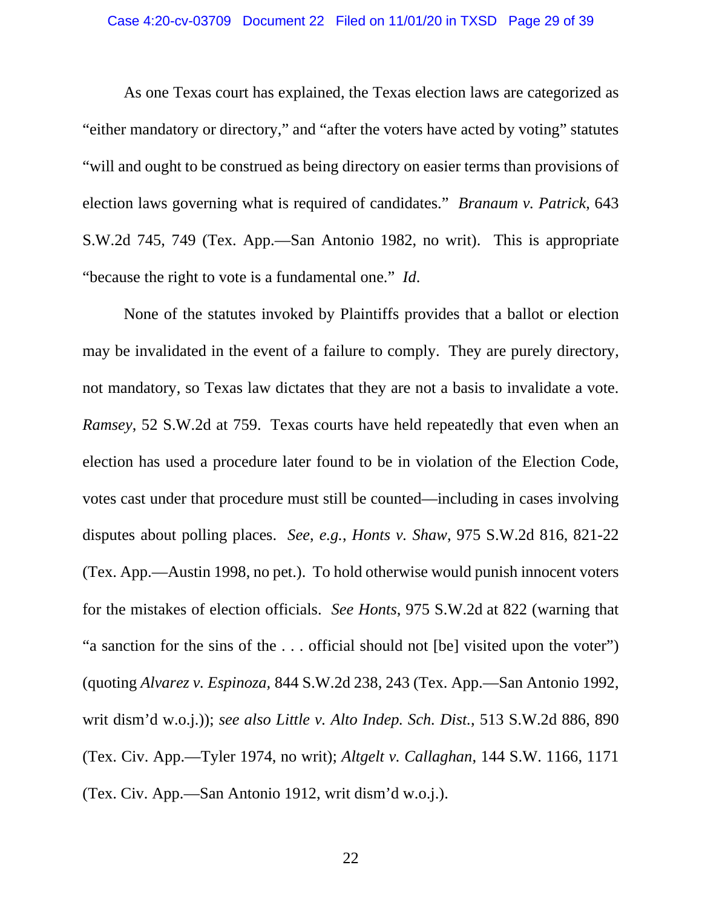#### Case 4:20-cv-03709 Document 22 Filed on 11/01/20 in TXSD Page 29 of 39

<span id="page-28-2"></span>As one Texas court has explained, the Texas election laws are categorized as "either mandatory or directory," and "after the voters have acted by voting" statutes "will and ought to be construed as being directory on easier terms than provisions of election laws governing what is required of candidates." *Branaum v. Patrick*, 643 S.W.2d 745, 749 (Tex. App.—San Antonio 1982, no writ). This is appropriate "because the right to vote is a fundamental one." *Id*.

<span id="page-28-5"></span><span id="page-28-4"></span><span id="page-28-3"></span><span id="page-28-1"></span><span id="page-28-0"></span>None of the statutes invoked by Plaintiffs provides that a ballot or election may be invalidated in the event of a failure to comply. They are purely directory, not mandatory, so Texas law dictates that they are not a basis to invalidate a vote. *Ramsey*, 52 S.W.2d at 759. Texas courts have held repeatedly that even when an election has used a procedure later found to be in violation of the Election Code, votes cast under that procedure must still be counted—including in cases involving disputes about polling places. *See*, *e.g.*, *Honts v. Shaw*, 975 S.W.2d 816, 821-22 (Tex. App.—Austin 1998, no pet.). To hold otherwise would punish innocent voters for the mistakes of election officials. *See Honts*, 975 S.W.2d at 822 (warning that "a sanction for the sins of the . . . official should not [be] visited upon the voter") (quoting *Alvarez v. Espinoza,* 844 S.W.2d 238, 243 (Tex. App.—San Antonio 1992, writ dism'd w.o.j.)); *see also Little v. Alto Indep. Sch. Dist.*, 513 S.W.2d 886, 890 (Tex. Civ. App.—Tyler 1974, no writ); *Altgelt v. Callaghan*, 144 S.W. 1166, 1171 (Tex. Civ. App.—San Antonio 1912, writ dism'd w.o.j.).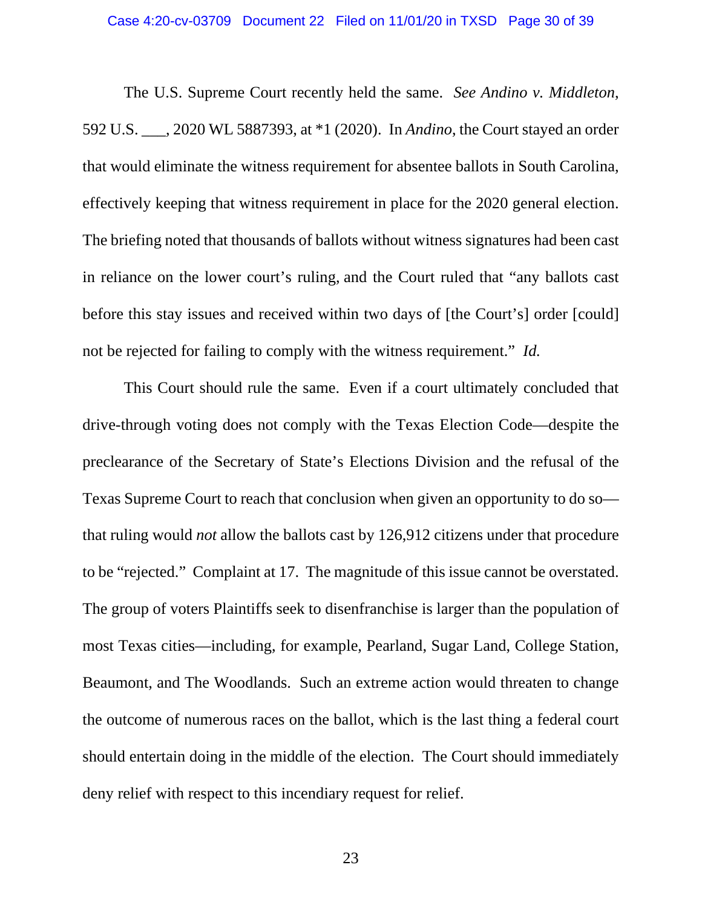#### <span id="page-29-0"></span>Case 4:20-cv-03709 Document 22 Filed on 11/01/20 in TXSD Page 30 of 39

The U.S. Supreme Court recently held the same. *See Andino v. Middleton*, 592 U.S. \_\_\_, 2020 WL 5887393, at \*1 (2020). In *Andino*, the Court stayed an order that would eliminate the witness requirement for absentee ballots in South Carolina, effectively keeping that witness requirement in place for the 2020 general election. The briefing noted that thousands of ballots without witness signatures had been cast in reliance on the lower court's ruling, and the Court ruled that "any ballots cast before this stay issues and received within two days of [the Court's] order [could] not be rejected for failing to comply with the witness requirement." *Id.*

This Court should rule the same. Even if a court ultimately concluded that drive-through voting does not comply with the Texas Election Code—despite the preclearance of the Secretary of State's Elections Division and the refusal of the Texas Supreme Court to reach that conclusion when given an opportunity to do so that ruling would *not* allow the ballots cast by 126,912 citizens under that procedure to be "rejected." Complaint at 17. The magnitude of this issue cannot be overstated. The group of voters Plaintiffs seek to disenfranchise is larger than the population of most Texas cities—including, for example, Pearland, Sugar Land, College Station, Beaumont, and The Woodlands. Such an extreme action would threaten to change the outcome of numerous races on the ballot, which is the last thing a federal court should entertain doing in the middle of the election. The Court should immediately deny relief with respect to this incendiary request for relief.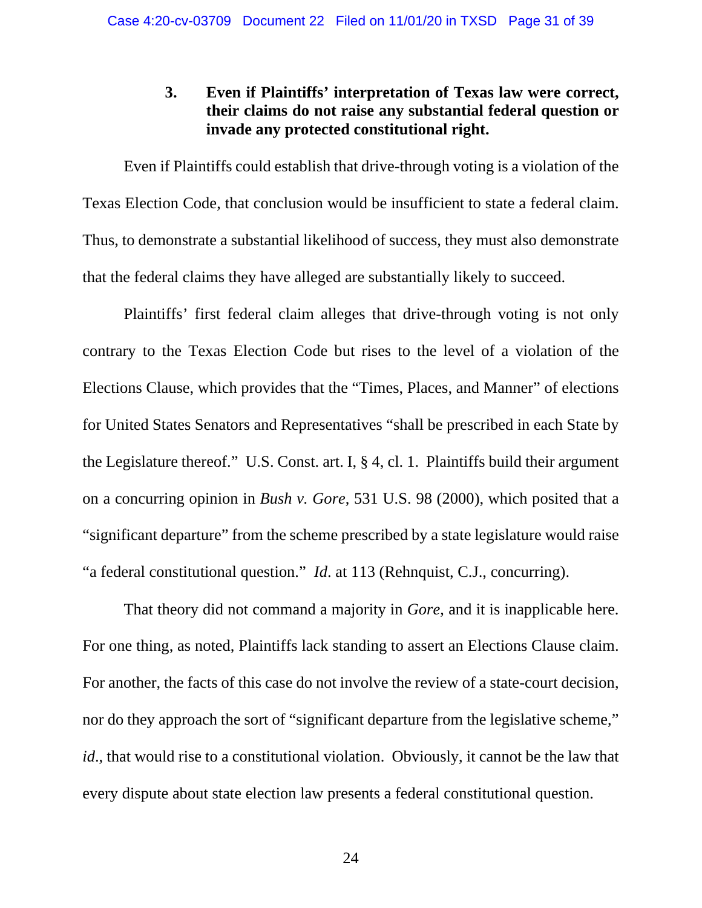## **3. Even if Plaintiffs' interpretation of Texas law were correct, their claims do not raise any substantial federal question or invade any protected constitutional right.**

<span id="page-30-0"></span>Even if Plaintiffs could establish that drive-through voting is a violation of the Texas Election Code, that conclusion would be insufficient to state a federal claim. Thus, to demonstrate a substantial likelihood of success, they must also demonstrate that the federal claims they have alleged are substantially likely to succeed.

<span id="page-30-2"></span>Plaintiffs' first federal claim alleges that drive-through voting is not only contrary to the Texas Election Code but rises to the level of a violation of the Elections Clause, which provides that the "Times, Places, and Manner" of elections for United States Senators and Representatives "shall be prescribed in each State by the Legislature thereof." U.S. Const. art. I, § 4, cl. 1. Plaintiffs build their argument on a concurring opinion in *Bush v. Gore*, 531 U.S. 98 (2000), which posited that a "significant departure" from the scheme prescribed by a state legislature would raise "a federal constitutional question." *Id*. at 113 (Rehnquist, C.J., concurring).

<span id="page-30-1"></span>That theory did not command a majority in *Gore*, and it is inapplicable here. For one thing, as noted, Plaintiffs lack standing to assert an Elections Clause claim. For another, the facts of this case do not involve the review of a state-court decision, nor do they approach the sort of "significant departure from the legislative scheme," *id*., that would rise to a constitutional violation. Obviously, it cannot be the law that every dispute about state election law presents a federal constitutional question.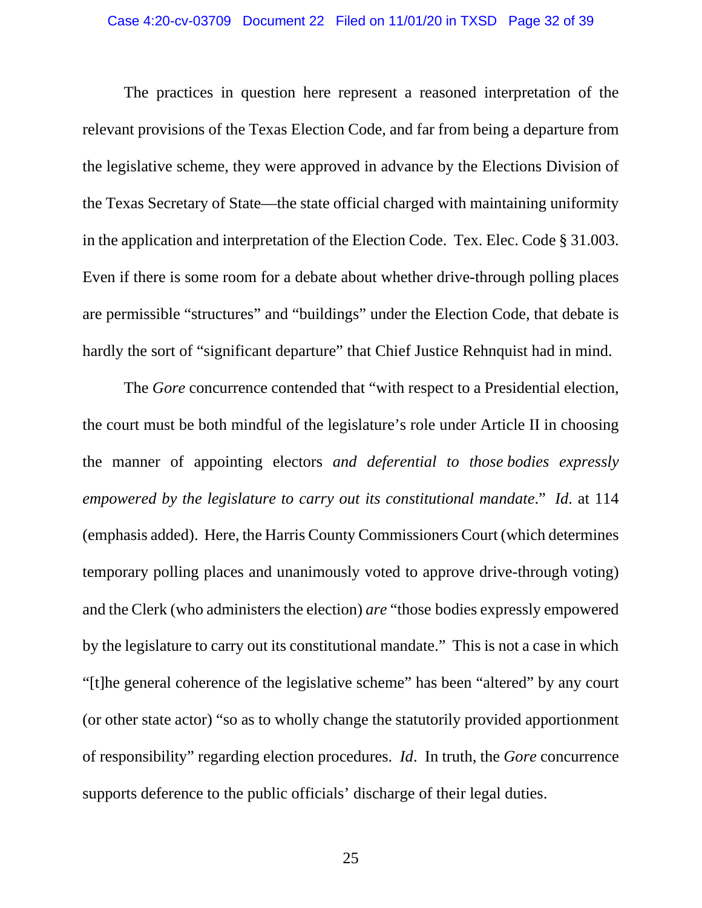<span id="page-31-1"></span>The practices in question here represent a reasoned interpretation of the relevant provisions of the Texas Election Code, and far from being a departure from the legislative scheme, they were approved in advance by the Elections Division of the Texas Secretary of State—the state official charged with maintaining uniformity in the application and interpretation of the Election Code. Tex. Elec. Code § 31.003. Even if there is some room for a debate about whether drive-through polling places are permissible "structures" and "buildings" under the Election Code, that debate is hardly the sort of "significant departure" that Chief Justice Rehnquist had in mind.

<span id="page-31-0"></span>The *Gore* concurrence contended that "with respect to a Presidential election, the court must be both mindful of the legislature's role under Article II in choosing the manner of appointing electors *and deferential to those bodies expressly empowered by the legislature to carry out its constitutional mandate*." *Id*. at 114 (emphasis added). Here, the Harris County Commissioners Court (which determines temporary polling places and unanimously voted to approve drive-through voting) and the Clerk (who administers the election) *are* "those bodies expressly empowered by the legislature to carry out its constitutional mandate." This is not a case in which "[t]he general coherence of the legislative scheme" has been "altered" by any court (or other state actor) "so as to wholly change the statutorily provided apportionment of responsibility" regarding election procedures. *Id*. In truth, the *Gore* concurrence supports deference to the public officials' discharge of their legal duties.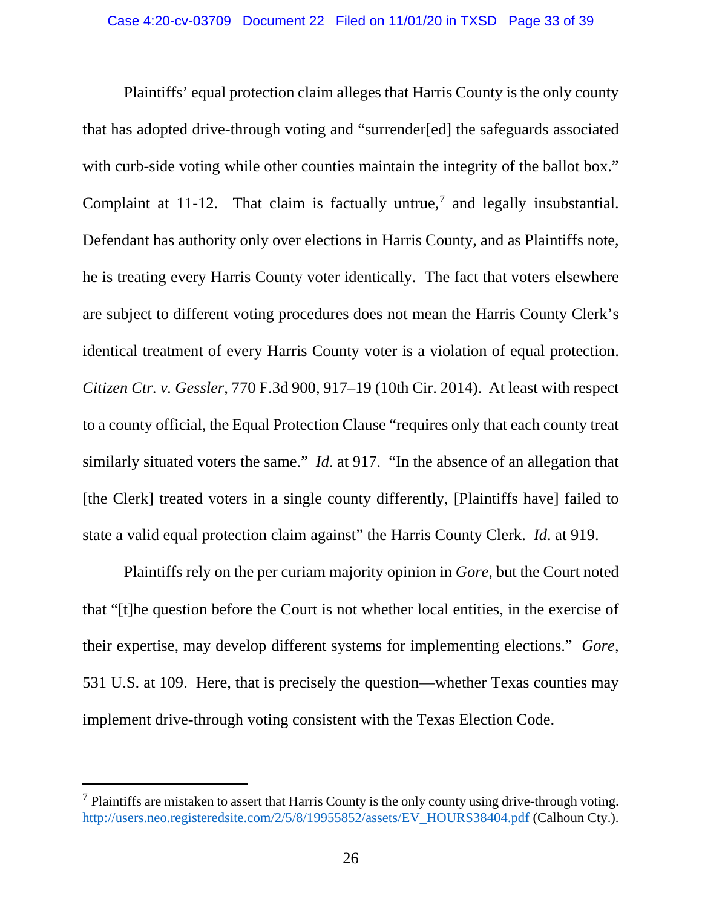Plaintiffs' equal protection claim alleges that Harris County is the only county that has adopted drive-through voting and "surrender[ed] the safeguards associated with curb-side voting while other counties maintain the integrity of the ballot box." Complaint at 11-12. That claim is factually untrue,<sup>[7](#page-32-2)</sup> and legally insubstantial. Defendant has authority only over elections in Harris County, and as Plaintiffs note, he is treating every Harris County voter identically. The fact that voters elsewhere are subject to different voting procedures does not mean the Harris County Clerk's identical treatment of every Harris County voter is a violation of equal protection. *Citizen Ctr. v. Gessler*, 770 F.3d 900, 917–19 (10th Cir. 2014). At least with respect to a county official, the Equal Protection Clause "requires only that each county treat similarly situated voters the same." *Id.* at 917. "In the absence of an allegation that [the Clerk] treated voters in a single county differently, [Plaintiffs have] failed to state a valid equal protection claim against" the Harris County Clerk. *Id*. at 919.

<span id="page-32-1"></span><span id="page-32-0"></span>Plaintiffs rely on the per curiam majority opinion in *Gore*, but the Court noted that "[t]he question before the Court is not whether local entities, in the exercise of their expertise, may develop different systems for implementing elections." *Gore*, 531 U.S. at 109. Here, that is precisely the question—whether Texas counties may implement drive-through voting consistent with the Texas Election Code.

<span id="page-32-2"></span> $<sup>7</sup>$  Plaintiffs are mistaken to assert that Harris County is the only county using drive-through voting.</sup> [http://users.neo.registeredsite.com/2/5/8/19955852/assets/EV\\_HOURS38404.pdf](http://users.neo.registeredsite.com/2/5/8/19955852/assets/EV_HOURS38404.pdf) (Calhoun Cty.).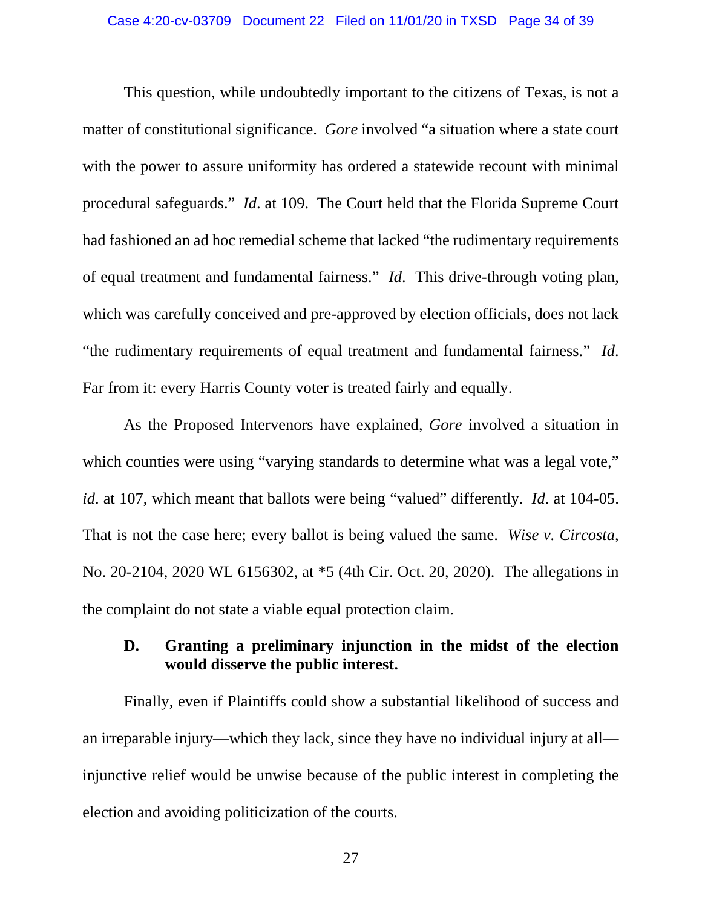<span id="page-33-1"></span>This question, while undoubtedly important to the citizens of Texas, is not a matter of constitutional significance. *Gore* involved "a situation where a state court with the power to assure uniformity has ordered a statewide recount with minimal procedural safeguards." *Id*. at 109. The Court held that the Florida Supreme Court had fashioned an ad hoc remedial scheme that lacked "the rudimentary requirements of equal treatment and fundamental fairness." *Id*. This drive-through voting plan, which was carefully conceived and pre-approved by election officials, does not lack "the rudimentary requirements of equal treatment and fundamental fairness." *Id*. Far from it: every Harris County voter is treated fairly and equally.

As the Proposed Intervenors have explained, *Gore* involved a situation in which counties were using "varying standards to determine what was a legal vote," *id*. at 107, which meant that ballots were being "valued" differently. *Id*. at 104-05. That is not the case here; every ballot is being valued the same. *Wise v. Circosta*, No. 20-2104, 2020 WL 6156302, at \*5 (4th Cir. Oct. 20, 2020). The allegations in the complaint do not state a viable equal protection claim.

## <span id="page-33-2"></span><span id="page-33-0"></span>**D. Granting a preliminary injunction in the midst of the election would disserve the public interest.**

Finally, even if Plaintiffs could show a substantial likelihood of success and an irreparable injury—which they lack, since they have no individual injury at all injunctive relief would be unwise because of the public interest in completing the election and avoiding politicization of the courts.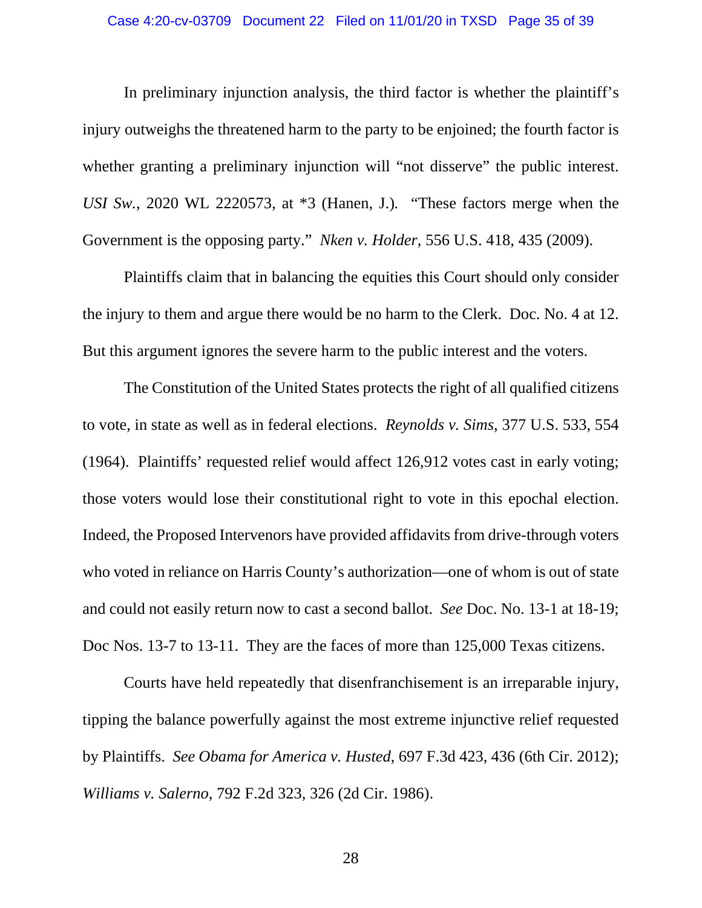#### Case 4:20-cv-03709 Document 22 Filed on 11/01/20 in TXSD Page 35 of 39

In preliminary injunction analysis, the third factor is whether the plaintiff's injury outweighs the threatened harm to the party to be enjoined; the fourth factor is whether granting a preliminary injunction will "not disserve" the public interest. *USI Sw.*, 2020 WL 2220573, at \*3 (Hanen, J.)*.* "These factors merge when the Government is the opposing party." *Nken v. Holder*, 556 U.S. 418, 435 (2009).

<span id="page-34-3"></span><span id="page-34-0"></span>Plaintiffs claim that in balancing the equities this Court should only consider the injury to them and argue there would be no harm to the Clerk. Doc. No. 4 at 12. But this argument ignores the severe harm to the public interest and the voters.

<span id="page-34-2"></span>The Constitution of the United States protects the right of all qualified citizens to vote, in state as well as in federal elections. *Reynolds v. Sims*, 377 U.S. 533, 554 (1964). Plaintiffs' requested relief would affect 126,912 votes cast in early voting; those voters would lose their constitutional right to vote in this epochal election. Indeed, the Proposed Intervenors have provided affidavits from drive-through voters who voted in reliance on Harris County's authorization—one of whom is out of state and could not easily return now to cast a second ballot. *See* Doc. No. 13-1 at 18-19; Doc Nos. 13-7 to 13-11. They are the faces of more than 125,000 Texas citizens.

<span id="page-34-4"></span><span id="page-34-1"></span>Courts have held repeatedly that disenfranchisement is an irreparable injury, tipping the balance powerfully against the most extreme injunctive relief requested by Plaintiffs. *See Obama for America v. Husted*, 697 F.3d 423, 436 (6th Cir. 2012); *Williams v. Salerno*, 792 F.2d 323, 326 (2d Cir. 1986).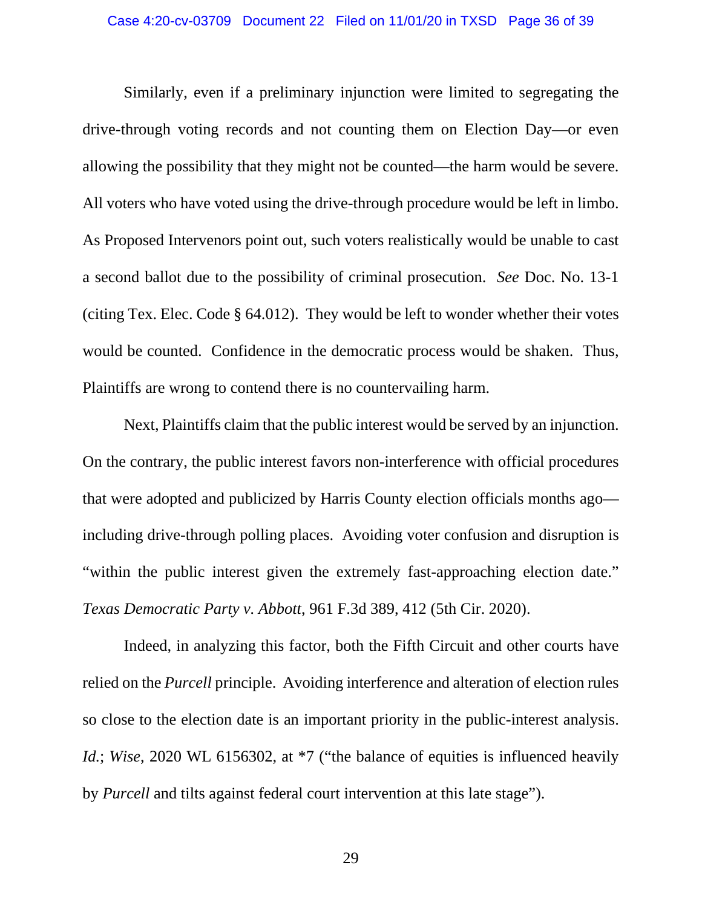Similarly, even if a preliminary injunction were limited to segregating the drive-through voting records and not counting them on Election Day—or even allowing the possibility that they might not be counted—the harm would be severe. All voters who have voted using the drive-through procedure would be left in limbo. As Proposed Intervenors point out, such voters realistically would be unable to cast a second ballot due to the possibility of criminal prosecution. *See* Doc. No. 13-1 (citing Tex. Elec. Code § 64.012). They would be left to wonder whether their votes would be counted. Confidence in the democratic process would be shaken. Thus, Plaintiffs are wrong to contend there is no countervailing harm.

<span id="page-35-1"></span>Next, Plaintiffs claim that the public interest would be served by an injunction. On the contrary, the public interest favors non-interference with official procedures that were adopted and publicized by Harris County election officials months ago including drive-through polling places. Avoiding voter confusion and disruption is "within the public interest given the extremely fast-approaching election date." *Texas Democratic Party v. Abbott*, 961 F.3d 389, 412 (5th Cir. 2020).

<span id="page-35-0"></span>Indeed, in analyzing this factor, both the Fifth Circuit and other courts have relied on the *Purcell* principle. Avoiding interference and alteration of election rules so close to the election date is an important priority in the public-interest analysis. *Id.*; *Wise*, 2020 WL 6156302, at  $*7$  ("the balance of equities is influenced heavily by *Purcell* and tilts against federal court intervention at this late stage").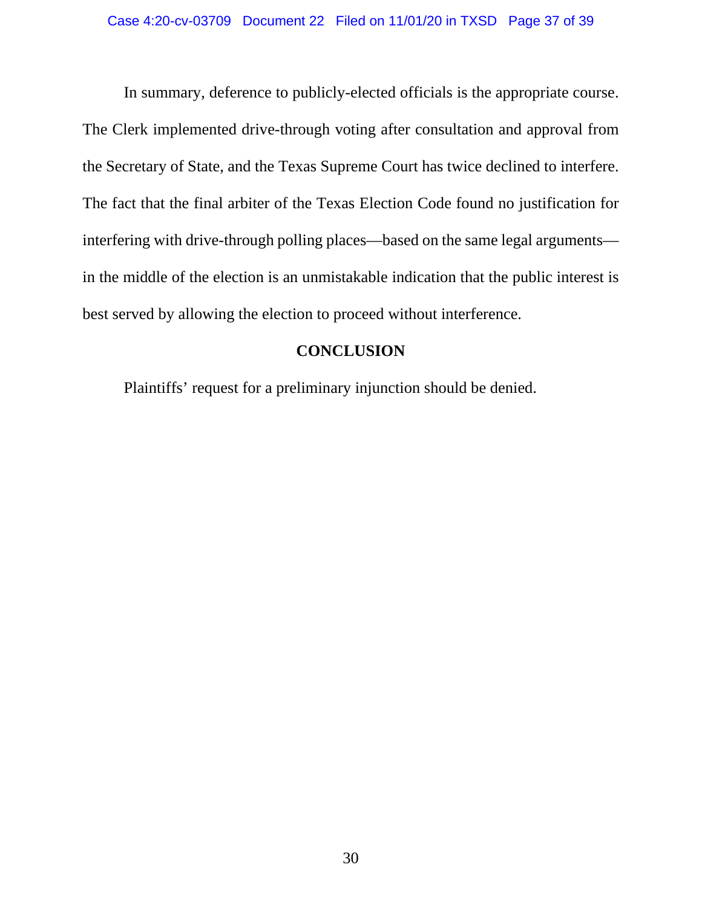In summary, deference to publicly-elected officials is the appropriate course. The Clerk implemented drive-through voting after consultation and approval from the Secretary of State, and the Texas Supreme Court has twice declined to interfere. The fact that the final arbiter of the Texas Election Code found no justification for interfering with drive-through polling places—based on the same legal arguments in the middle of the election is an unmistakable indication that the public interest is best served by allowing the election to proceed without interference.

# **CONCLUSION**

<span id="page-36-0"></span>Plaintiffs' request for a preliminary injunction should be denied.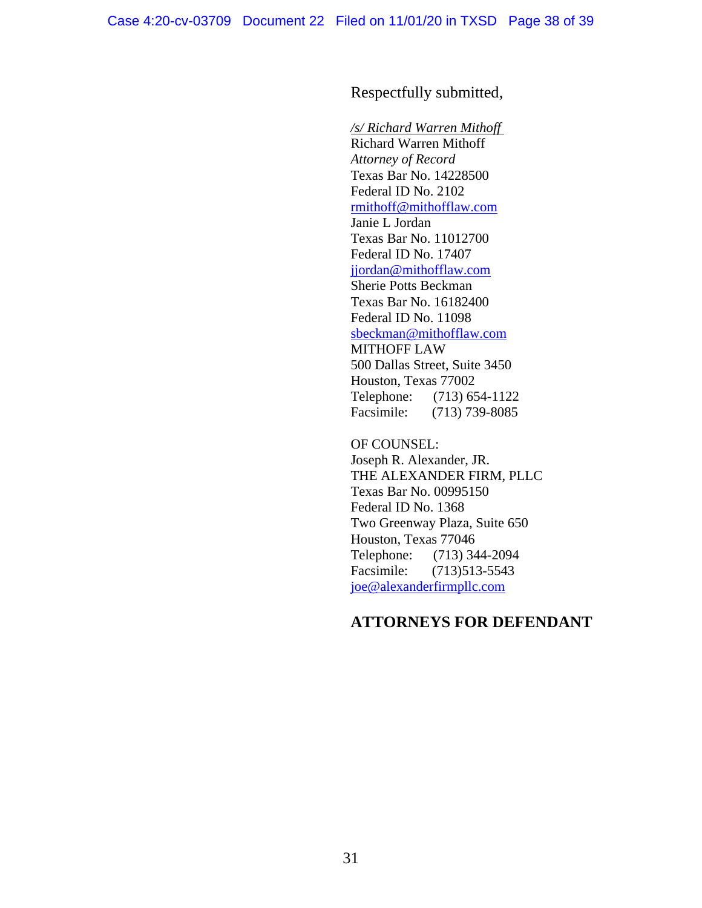## Respectfully submitted,

*/s/ Richard Warren Mithoff* Richard Warren Mithoff *Attorney of Record* Texas Bar No. 14228500 Federal ID No. 2102 [rmithoff@mithofflaw.com](mailto:rmithoff@mithofflaw.com) Janie L Jordan Texas Bar No. 11012700 Federal ID No. 17407 [jjordan@mithofflaw.com](mailto:jjordan@mithofflaw.com) Sherie Potts Beckman Texas Bar No. 16182400 Federal ID No. 11098 [sbeckman@mithofflaw.com](mailto:sbeckman@mithofflaw.com) MITHOFF LAW 500 Dallas Street, Suite 3450 Houston, Texas 77002 Telephone: (713) 654-1122 Facsimile: (713) 739-8085

OF COUNSEL: Joseph R. Alexander, JR. THE ALEXANDER FIRM, PLLC Texas Bar No. 00995150 Federal ID No. 1368 Two Greenway Plaza, Suite 650 Houston, Texas 77046 Telephone: (713) 344-2094 Facsimile: (713)513-5543 [joe@alexanderfirmpllc.com](mailto:joe@alexanderfirmpllc.com)

### **ATTORNEYS FOR DEFENDANT**